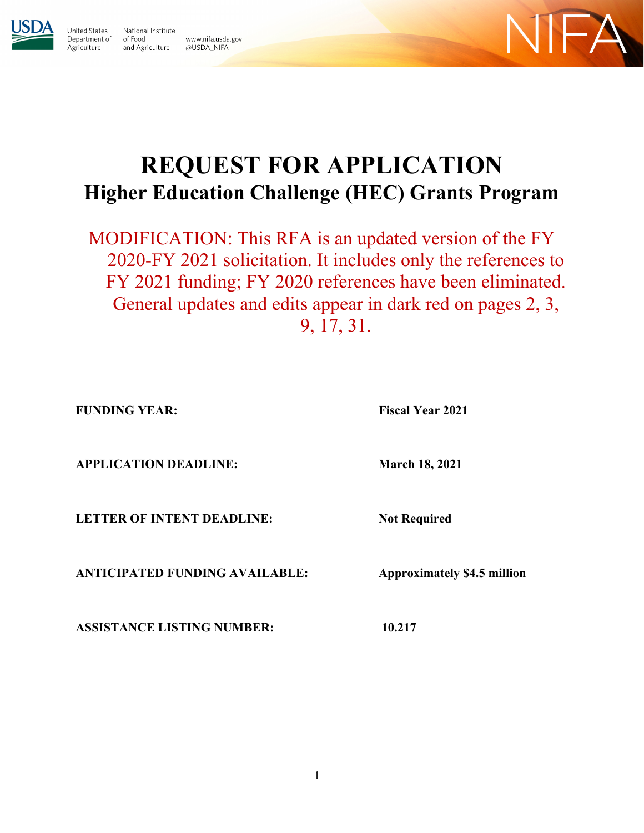

Jnited States

Agriculture

National Institute Department of of Food and Agriculture @USDA\_NIFA





# **REQUEST FOR APPLICATION Higher Education Challenge (HEC) Grants Program**

MODIFICATION: This RFA is an updated version of the FY 2020-FY 2021 solicitation. It includes only the references to FY 2021 funding; FY 2020 references have been eliminated. General updates and edits appear in dark red on pages 2, 3, 9, 17, 31.

**FUNDING YEAR:** Fiscal Year 2021

**APPLICATION DEADLINE: March 18, 2021** 

**LETTER OF INTENT DEADLINE:** Not Required

**ANTICIPATED FUNDING AVAILABLE: Approximately \$4.5 million**

**ASSISTANCE LISTING NUMBER: 10.217**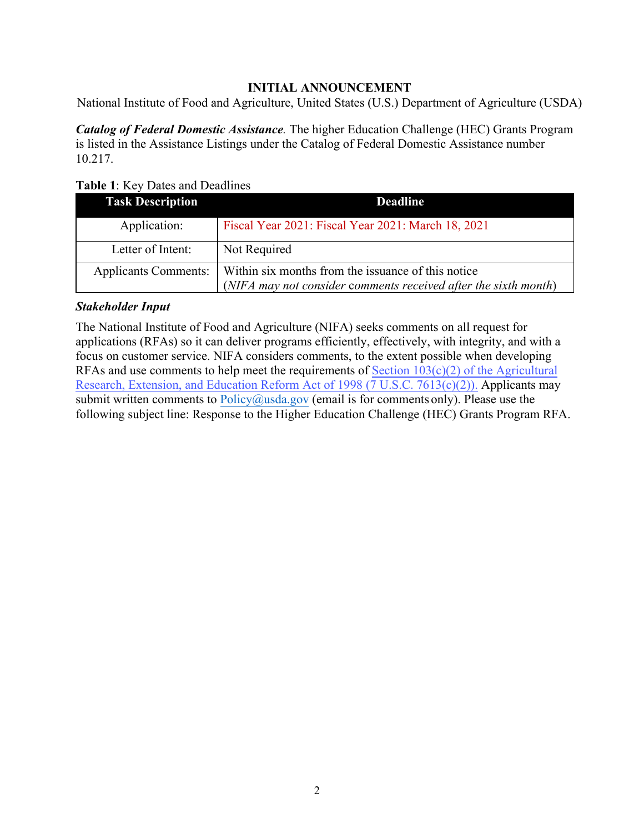# <span id="page-1-1"></span>**INITIAL ANNOUNCEMENT**

<span id="page-1-0"></span>National Institute of Food and Agriculture, United States (U.S.) Department of Agriculture (USDA)

*Catalog of Federal Domestic Assistance.* The higher Education Challenge (HEC) Grants Program is listed in the Assistance Listings under the Catalog of Federal Domestic Assistance number 10.217.

**Table 1**: Key Dates and Deadlines

| <b>Task Description</b>     | <b>Deadline</b>                                                                                                       |
|-----------------------------|-----------------------------------------------------------------------------------------------------------------------|
| Application:                | Fiscal Year 2021: Fiscal Year 2021: March 18, 2021                                                                    |
| Letter of Intent:           | Not Required                                                                                                          |
| <b>Applicants Comments:</b> | Within six months from the issuance of this notice<br>(NIFA may not consider comments received after the sixth month) |

#### *Stakeholder Input*

The National Institute of Food and Agriculture (NIFA) seeks comments on all request for applications (RFAs) so it can deliver programs efficiently, effectively, with integrity, and with a focus on customer service. NIFA considers comments, to the extent possible when developing RFAs and use comments to help meet the requirements of Section  $103(c)(2)$  of the Agricultural [Research, Extension, and Education Reform Act of 1998 \(7 U.S.C. 7613\(c\)\(2\)\).](https://nifa.usda.gov/resource/agricultural-research-extension-and-education-reform-act-1998) Applicants may submit written comments to  $Policy@usda.gov$  (email is for comments only). Please use the following subject line: Response to the Higher Education Challenge (HEC) Grants Program RFA.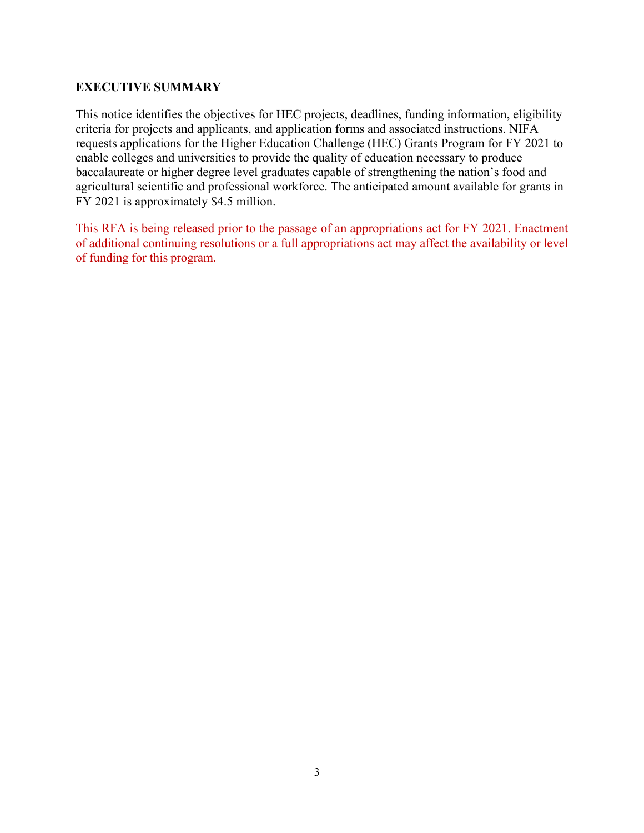#### <span id="page-2-0"></span>**EXECUTIVE SUMMARY**

This notice identifies the objectives for HEC projects, deadlines, funding information, eligibility criteria for projects and applicants, and application forms and associated instructions. NIFA requests applications for the Higher Education Challenge (HEC) Grants Program for FY 2021 to enable colleges and universities to provide the quality of education necessary to produce baccalaureate or higher degree level graduates capable of strengthening the nation's food and agricultural scientific and professional workforce. The anticipated amount available for grants in FY 2021 is approximately \$4.5 million.

This RFA is being released prior to the passage of an appropriations act for FY 2021. Enactment of additional continuing resolutions or a full appropriations act may affect the availability or level of funding for this program.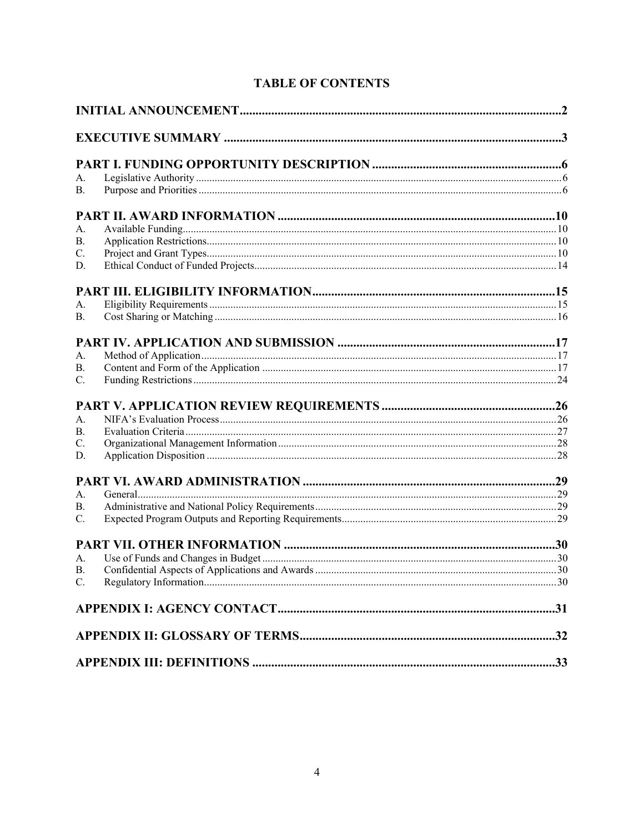|  | <b>TABLE OF CONTENTS</b> |
|--|--------------------------|
|--|--------------------------|

| A.              |  |
|-----------------|--|
| <b>B.</b>       |  |
|                 |  |
| A.              |  |
| <b>B.</b>       |  |
| C.              |  |
| D.              |  |
|                 |  |
| А.              |  |
| B.              |  |
|                 |  |
| A <sub>1</sub>  |  |
| <b>B.</b>       |  |
| $\mathcal{C}$ . |  |
|                 |  |
| A <sub>1</sub>  |  |
| B.              |  |
| $\mathcal{C}$ . |  |
| D.              |  |
|                 |  |
| A <sub>1</sub>  |  |
| <b>B.</b>       |  |
| $\mathcal{C}$ . |  |
|                 |  |
| A <sub>1</sub>  |  |
| B.              |  |
| C.              |  |
|                 |  |
|                 |  |
|                 |  |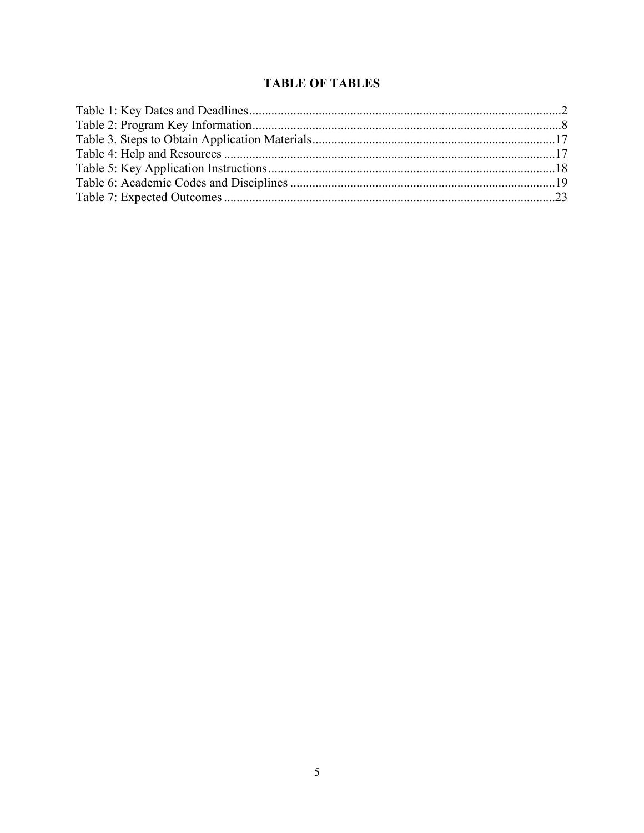# **TABLE OF TABLES**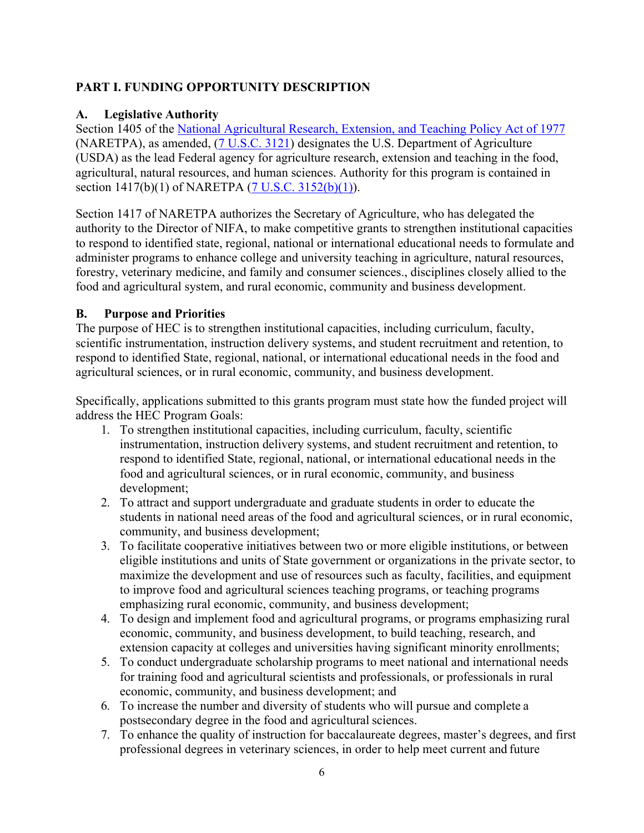# <span id="page-5-0"></span>**PART I. FUNDING OPPORTUNITY DESCRIPTION**

#### <span id="page-5-1"></span>**A. Legislative Authority**

Section 1405 of the [National Agricultural Research, Extension, and Teaching Policy Act of 1977](https://nifa.usda.gov/sites/default/files/resource/nar77.pdf) (NARETPA), as amended, [\(7 U.S.C. 3121\)](https://uscode.house.gov/view.xhtml?req=(title%3A7%20section%3A3121%20edition%3Aprelim)%20OR%20(granuleid%3AUSC-prelim-title7-section3121)&f=treesort&edition=prelim&num=0&jumpTo=true) designates the U.S. Department of Agriculture (USDA) as the lead Federal agency for agriculture research, extension and teaching in the food, agricultural, natural resources, and human sciences. Authority for this program is contained in section 1417(b)(1) of NARETPA [\(7 U.S.C. 3152\(b\)\(1\)\)](https://uscode.house.gov/view.xhtml?req=(title%3A7%20section%3A3152%20edition%3Aprelim)%20OR%20(granuleid%3AUSC-prelim-title7-section3152)&f=treesort&edition=prelim&num=0&jumpTo=true).

Section 1417 of NARETPA authorizes the Secretary of Agriculture, who has delegated the authority to the Director of NIFA, to make competitive grants to strengthen institutional capacities to respond to identified state, regional, national or international educational needs to formulate and administer programs to enhance college and university teaching in agriculture, natural resources, forestry, veterinary medicine, and family and consumer sciences., disciplines closely allied to the food and agricultural system, and rural economic, community and business development.

#### <span id="page-5-2"></span>**B. Purpose and Priorities**

The purpose of HEC is to strengthen institutional capacities, including curriculum, faculty, scientific instrumentation, instruction delivery systems, and student recruitment and retention, to respond to identified State, regional, national, or international educational needs in the food and agricultural sciences, or in rural economic, community, and business development.

Specifically, applications submitted to this grants program must state how the funded project will address the HEC Program Goals:

- 1. To strengthen institutional capacities, including curriculum, faculty, scientific instrumentation, instruction delivery systems, and student recruitment and retention, to respond to identified State, regional, national, or international educational needs in the food and agricultural sciences, or in rural economic, community, and business development;
- 2. To attract and support undergraduate and graduate students in order to educate the students in national need areas of the food and agricultural sciences, or in rural economic, community, and business development;
- 3. To facilitate cooperative initiatives between two or more eligible institutions, or between eligible institutions and units of State government or organizations in the private sector, to maximize the development and use of resources such as faculty, facilities, and equipment to improve food and agricultural sciences teaching programs, or teaching programs emphasizing rural economic, community, and business development;
- 4. To design and implement food and agricultural programs, or programs emphasizing rural economic, community, and business development, to build teaching, research, and extension capacity at colleges and universities having significant minority enrollments;
- 5. To conduct undergraduate scholarship programs to meet national and international needs for training food and agricultural scientists and professionals, or professionals in rural economic, community, and business development; and
- 6. To increase the number and diversity of students who will pursue and complete a postsecondary degree in the food and agricultural sciences.
- 7. To enhance the quality of instruction for baccalaureate degrees, master's degrees, and first professional degrees in veterinary sciences, in order to help meet current and future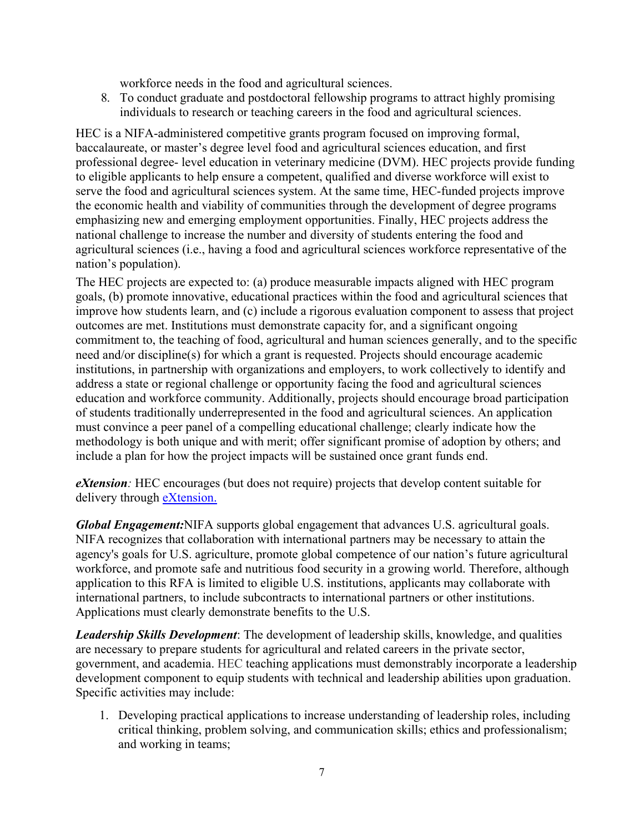workforce needs in the food and agricultural sciences.

8. To conduct graduate and postdoctoral fellowship programs to attract highly promising individuals to research or teaching careers in the food and agricultural sciences.

HEC is a NIFA-administered competitive grants program focused on improving formal, baccalaureate, or master's degree level food and agricultural sciences education, and first professional degree- level education in veterinary medicine (DVM). HEC projects provide funding to eligible applicants to help ensure a competent, qualified and diverse workforce will exist to serve the food and agricultural sciences system. At the same time, HEC-funded projects improve the economic health and viability of communities through the development of degree programs emphasizing new and emerging employment opportunities. Finally, HEC projects address the national challenge to increase the number and diversity of students entering the food and agricultural sciences (i.e., having a food and agricultural sciences workforce representative of the nation's population).

The HEC projects are expected to: (a) produce measurable impacts aligned with HEC program goals, (b) promote innovative, educational practices within the food and agricultural sciences that improve how students learn, and (c) include a rigorous evaluation component to assess that project outcomes are met. Institutions must demonstrate capacity for, and a significant ongoing commitment to, the teaching of food, agricultural and human sciences generally, and to the specific need and/or discipline(s) for which a grant is requested. Projects should encourage academic institutions, in partnership with organizations and employers, to work collectively to identify and address a state or regional challenge or opportunity facing the food and agricultural sciences education and workforce community. Additionally, projects should encourage broad participation of students traditionally underrepresented in the food and agricultural sciences. An application must convince a peer panel of a compelling educational challenge; clearly indicate how the methodology is both unique and with merit; offer significant promise of adoption by others; and include a plan for how the project impacts will be sustained once grant funds end.

*eXtension:* HEC encourages (but does not require) projects that develop content suitable for delivery through [eXtension.](https://impact.extension.org/)

*Global Engagement:*NIFA supports global engagement that advances U.S. agricultural goals. NIFA recognizes that collaboration with international partners may be necessary to attain the agency's goals for U.S. agriculture, promote global competence of our nation's future agricultural workforce, and promote safe and nutritious food security in a growing world. Therefore, although application to this RFA is limited to eligible U.S. institutions, applicants may collaborate with international partners, to include subcontracts to international partners or other institutions. Applications must clearly demonstrate benefits to the U.S.

*Leadership Skills Development*: The development of leadership skills, knowledge, and qualities are necessary to prepare students for agricultural and related careers in the private sector, government, and academia. HEC teaching applications must demonstrably incorporate a leadership development component to equip students with technical and leadership abilities upon graduation. Specific activities may include:

1. Developing practical applications to increase understanding of leadership roles, including critical thinking, problem solving, and communication skills; ethics and professionalism; and working in teams;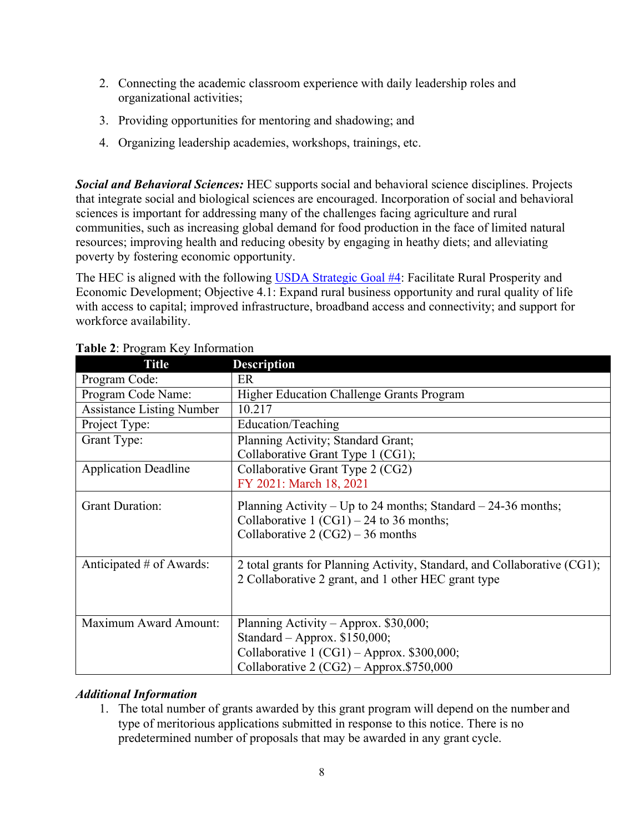- 2. Connecting the academic classroom experience with daily leadership roles and organizational activities;
- 3. Providing opportunities for mentoring and shadowing; and
- 4. Organizing leadership academies, workshops, trainings, etc.

*Social and Behavioral Sciences:* HEC supports social and behavioral science disciplines. Projects that integrate social and biological sciences are encouraged. Incorporation of social and behavioral sciences is important for addressing many of the challenges facing agriculture and rural communities, such as increasing global demand for food production in the face of limited natural resources; improving health and reducing obesity by engaging in heathy diets; and alleviating poverty by fostering economic opportunity.

The HEC is aligned with the following [USDA Strategic Goal #4:](https://www.usda.gov/sites/default/files/documents/usda-strategic-plan-2018-2022.pdf) Facilitate Rural Prosperity and Economic Development; Objective 4.1: Expand rural business opportunity and rural quality of life with access to capital; improved infrastructure, broadband access and connectivity; and support for workforce availability.

| <b>Title</b>                     | <b>Description</b>                                                                                                                                                    |  |  |
|----------------------------------|-----------------------------------------------------------------------------------------------------------------------------------------------------------------------|--|--|
| Program Code:                    | ER                                                                                                                                                                    |  |  |
| Program Code Name:               | Higher Education Challenge Grants Program                                                                                                                             |  |  |
| <b>Assistance Listing Number</b> | 10.217                                                                                                                                                                |  |  |
| Project Type:                    | Education/Teaching                                                                                                                                                    |  |  |
| Grant Type:                      | Planning Activity; Standard Grant;<br>Collaborative Grant Type 1 (CG1);                                                                                               |  |  |
| <b>Application Deadline</b>      | Collaborative Grant Type 2 (CG2)<br>FY 2021: March 18, 2021                                                                                                           |  |  |
| <b>Grant Duration:</b>           | Planning Activity – Up to 24 months; Standard – 24-36 months;<br>Collaborative 1 $(CG1) - 24$ to 36 months;<br>Collaborative 2 $(CG2)$ – 36 months                    |  |  |
| Anticipated # of Awards:         | 2 total grants for Planning Activity, Standard, and Collaborative (CG1);<br>2 Collaborative 2 grant, and 1 other HEC grant type                                       |  |  |
| Maximum Award Amount:            | Planning Activity – Approx. $$30,000;$<br>Standard - Approx. \$150,000;<br>Collaborative $1 (CG1) - Approx.$ \$300,000;<br>Collaborative 2 $(CG2)$ – Approx.\$750,000 |  |  |

# <span id="page-7-0"></span>**Table 2**: Program Key Information

#### *Additional Information*

1. The total number of grants awarded by this grant program will depend on the number and type of meritorious applications submitted in response to this notice. There is no predetermined number of proposals that may be awarded in any grant cycle.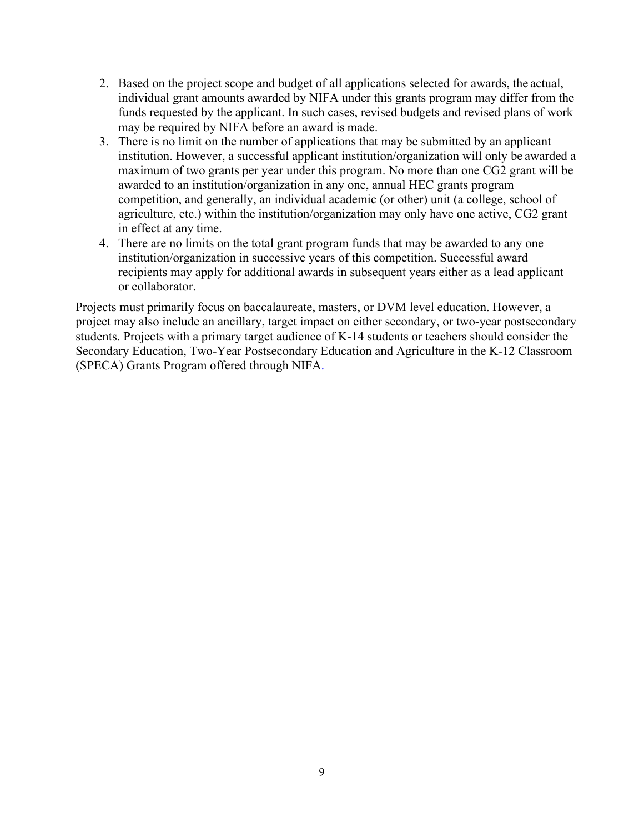- 2. Based on the project scope and budget of all applications selected for awards, the actual, individual grant amounts awarded by NIFA under this grants program may differ from the funds requested by the applicant. In such cases, revised budgets and revised plans of work may be required by NIFA before an award is made.
- 3. There is no limit on the number of applications that may be submitted by an applicant institution. However, a successful applicant institution/organization will only be awarded a maximum of two grants per year under this program. No more than one CG2 grant will be awarded to an institution/organization in any one, annual HEC grants program competition, and generally, an individual academic (or other) unit (a college, school of agriculture, etc.) within the institution/organization may only have one active, CG2 grant in effect at any time.
- 4. There are no limits on the total grant program funds that may be awarded to any one institution/organization in successive years of this competition. Successful award recipients may apply for additional awards in subsequent years either as a lead applicant or collaborator.

Projects must primarily focus on baccalaureate, masters, or DVM level education. However, a project may also include an ancillary, target impact on either secondary, or two-year postsecondary students. Projects with a primary target audience of K-14 students or teachers should consider the Secondary Education, Two-Year Postsecondary Education and Agriculture in the K-12 Classroom (SPECA) Grants Program offered through NIFA.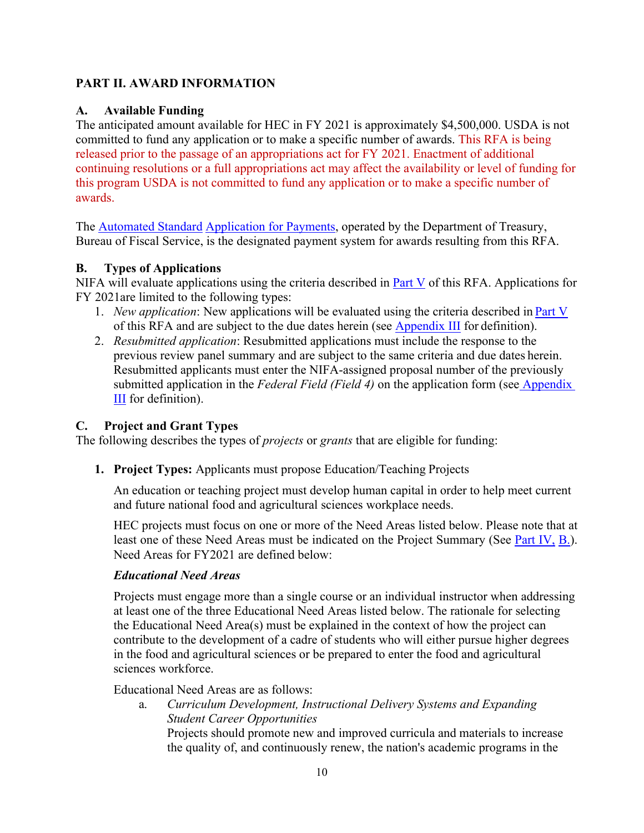#### <span id="page-9-0"></span>**PART II. AWARD INFORMATION**

# <span id="page-9-1"></span>**A. Available Funding**

The anticipated amount available for HEC in FY 2021 is approximately \$4,500,000. USDA is not committed to fund any application or to make a specific number of awards. This RFA is being released prior to the passage of an appropriations act for FY 2021. Enactment of additional continuing resolutions or a full appropriations act may affect the availability or level of funding for this program USDA is not committed to fund any application or to make a specific number of awards.

The [Automated Standard](https://www.fiscal.treasury.gov/fsservices/gov/pmt/asap/asap_home.htm) [Application for Payments,](https://www.fiscal.treasury.gov/fsservices/gov/pmt/asap/asap_home.htm) operated by the Department of Treasury, Bureau of Fiscal Service, is the designated payment system for awards resulting from this RFA.

# <span id="page-9-2"></span>**B. Types of Applications**

NIFA will evaluate applications using the criteria described in  $Part V$  of this RFA. Applications for FY 2021are limited to the following types:

- 1. *New application*: New applications will be evaluated using the criteria described in Part V of this RFA and are subject to the due dates herein (see Appendix III for definition).
- 2. *Resubmitted application*: Resubmitted applications must include the response to the previous review panel summary and are subject to the same criteria and due dates herein. Resubmitted applicants must enter the NIFA-assigned proposal number of the previously submitted application in the *Federal Field (Field 4)* on the application form (see Appendix III for definition).

# <span id="page-9-3"></span>**C. Project and Grant Types**

The following describes the types of *projects* or *grants* that are eligible for funding:

**1. Project Types:** Applicants must propose Education/Teaching Projects

An education or teaching project must develop human capital in order to help meet current and future national food and agricultural sciences workplace needs.

HEC projects must focus on one or more of the Need Areas listed below. Please note that at least one of these Need Areas must be indicated on the Project Summary (See Part IV, B.). Need Areas for FY2021 are defined below:

#### *Educational Need Areas*

Projects must engage more than a single course or an individual instructor when addressing at least one of the three Educational Need Areas listed below. The rationale for selecting the Educational Need Area(s) must be explained in the context of how the project can contribute to the development of a cadre of students who will either pursue higher degrees in the food and agricultural sciences or be prepared to enter the food and agricultural sciences workforce.

Educational Need Areas are as follows:

a. *Curriculum Development, Instructional Delivery Systems and Expanding Student Career Opportunities*

Projects should promote new and improved curricula and materials to increase the quality of, and continuously renew, the nation's academic programs in the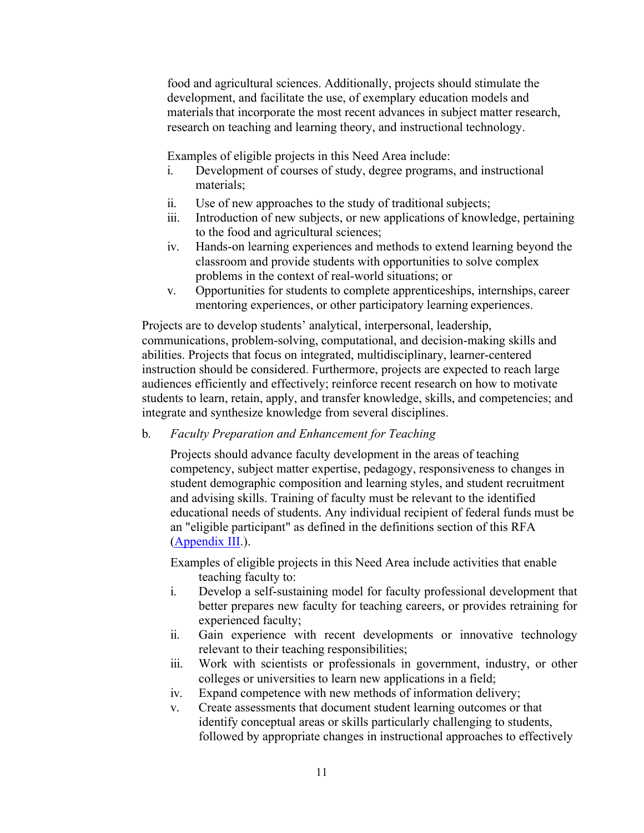food and agricultural sciences. Additionally, projects should stimulate the development, and facilitate the use, of exemplary education models and materials that incorporate the most recent advances in subject matter research, research on teaching and learning theory, and instructional technology.

Examples of eligible projects in this Need Area include:

- i. Development of courses of study, degree programs, and instructional materials;
- ii. Use of new approaches to the study of traditional subjects;
- iii. Introduction of new subjects, or new applications of knowledge, pertaining to the food and agricultural sciences;
- iv. Hands-on learning experiences and methods to extend learning beyond the classroom and provide students with opportunities to solve complex problems in the context of real-world situations; or
- v. Opportunities for students to complete apprenticeships, internships, career mentoring experiences, or other participatory learning experiences.

Projects are to develop students' analytical, interpersonal, leadership, communications, problem-solving, computational, and decision-making skills and abilities. Projects that focus on integrated, multidisciplinary, learner-centered instruction should be considered. Furthermore, projects are expected to reach large audiences efficiently and effectively; reinforce recent research on how to motivate students to learn, retain, apply, and transfer knowledge, skills, and competencies; and integrate and synthesize knowledge from several disciplines.

#### b. *Faculty Preparation and Enhancement for Teaching*

Projects should advance faculty development in the areas of teaching competency, subject matter expertise, pedagogy, responsiveness to changes in student demographic composition and learning styles, and student recruitment and advising skills. Training of faculty must be relevant to the identified educational needs of students. Any individual recipient of federal funds must be an "eligible participant" as defined in the definitions section of this RFA (Appendix III.).

Examples of eligible projects in this Need Area include activities that enable teaching faculty to:

- i. Develop a self-sustaining model for faculty professional development that better prepares new faculty for teaching careers, or provides retraining for experienced faculty;
- ii. Gain experience with recent developments or innovative technology relevant to their teaching responsibilities;
- iii. Work with scientists or professionals in government, industry, or other colleges or universities to learn new applications in a field;
- iv. Expand competence with new methods of information delivery;
- v. Create assessments that document student learning outcomes or that identify conceptual areas or skills particularly challenging to students, followed by appropriate changes in instructional approaches to effectively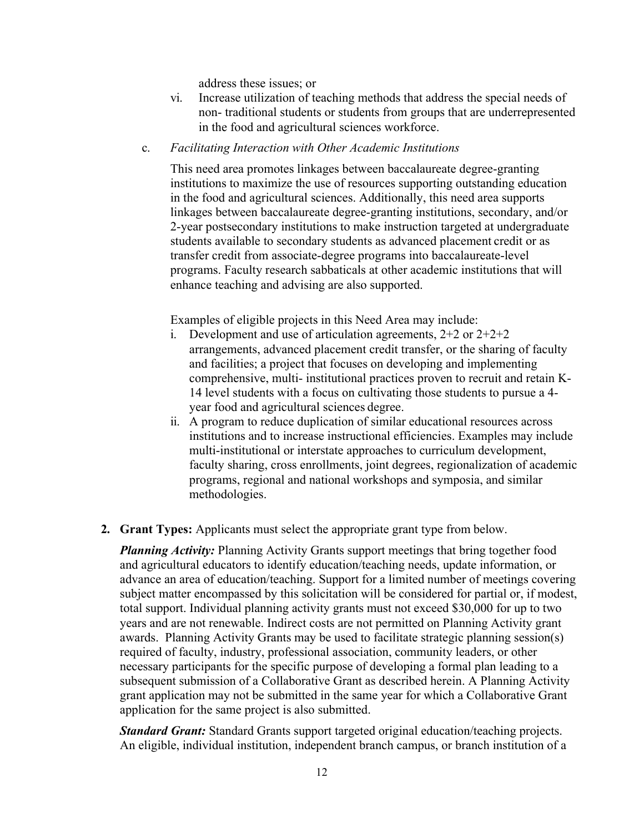address these issues; or

- vi. Increase utilization of teaching methods that address the special needs of non- traditional students or students from groups that are underrepresented in the food and agricultural sciences workforce.
- c. *Facilitating Interaction with Other Academic Institutions*

This need area promotes linkages between baccalaureate degree-granting institutions to maximize the use of resources supporting outstanding education in the food and agricultural sciences. Additionally, this need area supports linkages between baccalaureate degree-granting institutions, secondary, and/or 2-year postsecondary institutions to make instruction targeted at undergraduate students available to secondary students as advanced placement credit or as transfer credit from associate-degree programs into baccalaureate-level programs. Faculty research sabbaticals at other academic institutions that will enhance teaching and advising are also supported.

Examples of eligible projects in this Need Area may include:

- i. Development and use of articulation agreements,  $2+2$  or  $2+2+2$ arrangements, advanced placement credit transfer, or the sharing of faculty and facilities; a project that focuses on developing and implementing comprehensive, multi- institutional practices proven to recruit and retain K-14 level students with a focus on cultivating those students to pursue a 4 year food and agricultural sciences degree.
- ii. A program to reduce duplication of similar educational resources across institutions and to increase instructional efficiencies. Examples may include multi-institutional or interstate approaches to curriculum development, faculty sharing, cross enrollments, joint degrees, regionalization of academic programs, regional and national workshops and symposia, and similar methodologies.
- **2. Grant Types:** Applicants must select the appropriate grant type from below.

*Planning Activity:* Planning Activity Grants support meetings that bring together food and agricultural educators to identify education/teaching needs, update information, or advance an area of education/teaching. Support for a limited number of meetings covering subject matter encompassed by this solicitation will be considered for partial or, if modest, total support. Individual planning activity grants must not exceed \$30,000 for up to two years and are not renewable. Indirect costs are not permitted on Planning Activity grant awards. Planning Activity Grants may be used to facilitate strategic planning session(s) required of faculty, industry, professional association, community leaders, or other necessary participants for the specific purpose of developing a formal plan leading to a subsequent submission of a Collaborative Grant as described herein. A Planning Activity grant application may not be submitted in the same year for which a Collaborative Grant application for the same project is also submitted.

*Standard Grant:* Standard Grants support targeted original education/teaching projects. An eligible, individual institution, independent branch campus, or branch institution of a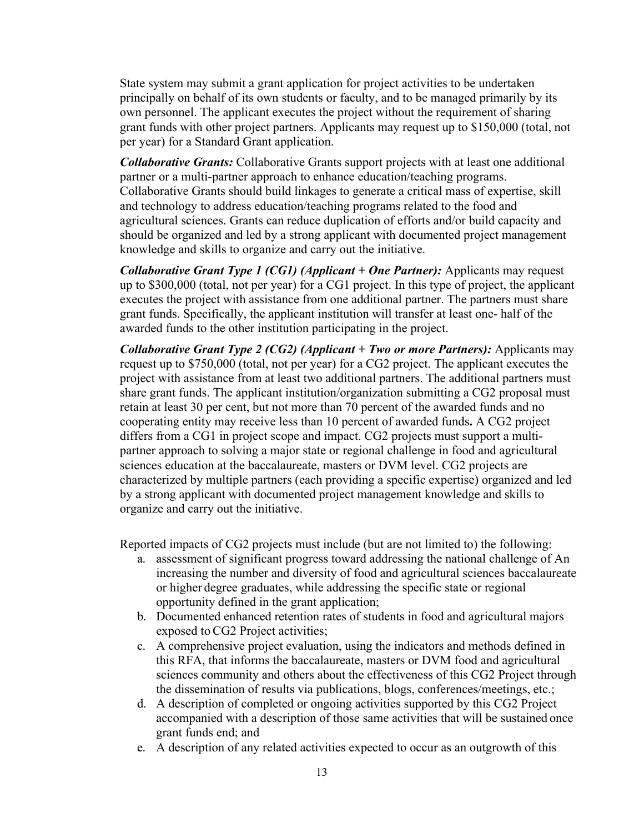State system may submit a grant application for project activities to be undertaken principally on behalf of its own students or faculty, and to be managed primarily by its own personnel. The applicant executes the project without the requirement of sharing grant funds with other project partners. Applicants may request up to \$150,000 (total, not per year) for a Standard Grant application.

*Collaborative Grants:* Collaborative Grants support projects with at least one additional partner or a multi-partner approach to enhance education/teaching programs. Collaborative Grants should build linkages to generate a critical mass of expertise, skill and technology to address education/teaching programs related to the food and agricultural sciences. Grants can reduce duplication of efforts and/or build capacity and should be organized and led by a strong applicant with documented project management knowledge and skills to organize and carry out the initiative.

*Collaborative Grant Type 1 (CG1) (Applicant + One Partner):* Applicants may request up to \$300,000 (total, not per year) for a CG1 project. In this type of project, the applicant executes the project with assistance from one additional partner. The partners must share grant funds. Specifically, the applicant institution will transfer at least one- half of the awarded funds to the other institution participating in the project.

*Collaborative Grant Type 2 (CG2) (Applicant + Two or more Partners):* Applicants may request up to \$750,000 (total, not per year) for a CG2 project. The applicant executes the project with assistance from at least two additional partners. The additional partners must share grant funds. The applicant institution/organization submitting a CG2 proposal must retain at least 30 per cent, but not more than 70 percent of the awarded funds and no cooperating entity may receive less than 10 percent of awarded funds**.** A CG2 project differs from a CG1 in project scope and impact. CG2 projects must support a multipartner approach to solving a major state or regional challenge in food and agricultural sciences education at the baccalaureate, masters or DVM level. CG2 projects are characterized by multiple partners (each providing a specific expertise) organized and led by a strong applicant with documented project management knowledge and skills to organize and carry out the initiative.

Reported impacts of CG2 projects must include (but are not limited to) the following:

- a. assessment of significant progress toward addressing the national challenge of An increasing the number and diversity of food and agricultural sciences baccalaureate or higher degree graduates, while addressing the specific state or regional opportunity defined in the grant application;
- b. Documented enhanced retention rates of students in food and agricultural majors exposed to CG2 Project activities;
- c. A comprehensive project evaluation, using the indicators and methods defined in this RFA, that informs the baccalaureate, masters or DVM food and agricultural sciences community and others about the effectiveness of this CG2 Project through the dissemination of results via publications, blogs, conferences/meetings, etc.;
- d. A description of completed or ongoing activities supported by this CG2 Project accompanied with a description of those same activities that will be sustained once grant funds end; and
- e. A description of any related activities expected to occur as an outgrowth of this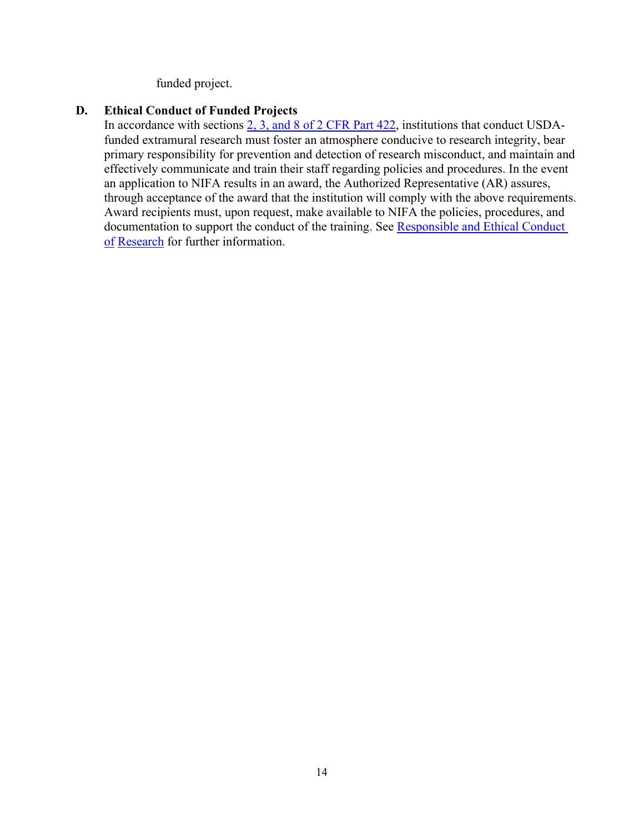funded project.

#### <span id="page-13-0"></span>**D. Ethical Conduct of Funded Projects**

In accordance with sections [2, 3, and 8 of 2 CFR Part 422,](https://ecfr.io/Title-02/pt2.1.422) institutions that conduct USDAfunded extramural research must foster an atmosphere conducive to research integrity, bear primary responsibility for prevention and detection of research misconduct, and maintain and effectively communicate and train their staff regarding policies and procedures. In the event an application to NIFA results in an award, the Authorized Representative (AR) assures, through acceptance of the award that the institution will comply with the above requirements. Award recipients must, upon request, make available to NIFA the policies, procedures, and documentation to support the conduct of the training. See [Responsible and Ethical Conduct](https://nifa.usda.gov/responsible-and-ethical-conduct-research)  [of](https://nifa.usda.gov/responsible-and-ethical-conduct-research) [Research](https://nifa.usda.gov/responsible-and-ethical-conduct-research) for further information.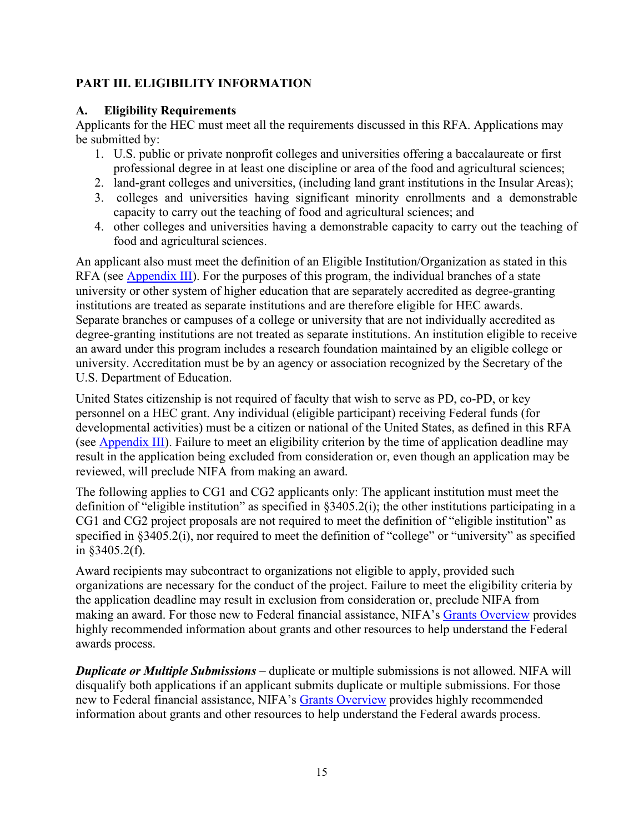# <span id="page-14-0"></span>**PART III. ELIGIBILITY INFORMATION**

#### <span id="page-14-1"></span>**A. Eligibility Requirements**

Applicants for the HEC must meet all the requirements discussed in this RFA. Applications may be submitted by:

- 1. U.S. public or private nonprofit colleges and universities offering a baccalaureate or first professional degree in at least one discipline or area of the food and agricultural sciences;
- 2. land-grant colleges and universities, (including land grant institutions in the Insular Areas);
- 3. colleges and universities having significant minority enrollments and a demonstrable capacity to carry out the teaching of food and agricultural sciences; and
- 4. other colleges and universities having a demonstrable capacity to carry out the teaching of food and agricultural sciences.

An applicant also must meet the definition of an Eligible Institution/Organization as stated in this RFA (see Appendix III). For the purposes of this program, the individual branches of a state university or other system of higher education that are separately accredited as degree-granting institutions are treated as separate institutions and are therefore eligible for HEC awards. Separate branches or campuses of a college or university that are not individually accredited as degree-granting institutions are not treated as separate institutions. An institution eligible to receive an award under this program includes a research foundation maintained by an eligible college or university. Accreditation must be by an agency or association recognized by the Secretary of the U.S. Department of Education.

United States citizenship is not required of faculty that wish to serve as PD, co-PD, or key personnel on a HEC grant. Any individual (eligible participant) receiving Federal funds (for developmental activities) must be a citizen or national of the United States, as defined in this RFA (see Appendix III). Failure to meet an eligibility criterion by the time of application deadline may result in the application being excluded from consideration or, even though an application may be reviewed, will preclude NIFA from making an award.

The following applies to CG1 and CG2 applicants only: The applicant institution must meet the definition of "eligible institution" as specified in §3405.2(i); the other institutions participating in a CG1 and CG2 project proposals are not required to meet the definition of "eligible institution" as specified in §3405.2(i), nor required to meet the definition of "college" or "university" as specified in §3405.2(f).

Award recipients may subcontract to organizations not eligible to apply, provided such organizations are necessary for the conduct of the project. Failure to meet the eligibility criteria by the application deadline may result in exclusion from consideration or, preclude NIFA from making an award. For those new to Federal financial assistance, NIFA's [Grants Overview](https://nifa.usda.gov/resource/grants-overview) provides highly recommended information about grants and other resources to help understand the Federal awards process.

*Duplicate or Multiple Submissions* – duplicate or multiple submissions is not allowed. NIFA will disqualify both applications if an applicant submits duplicate or multiple submissions. For those new to Federal financial assistance, NIFA's [Grants Overview](https://nifa.usda.gov/resource/grants-overview) provides highly recommended information about grants and other resources to help understand the Federal awards process.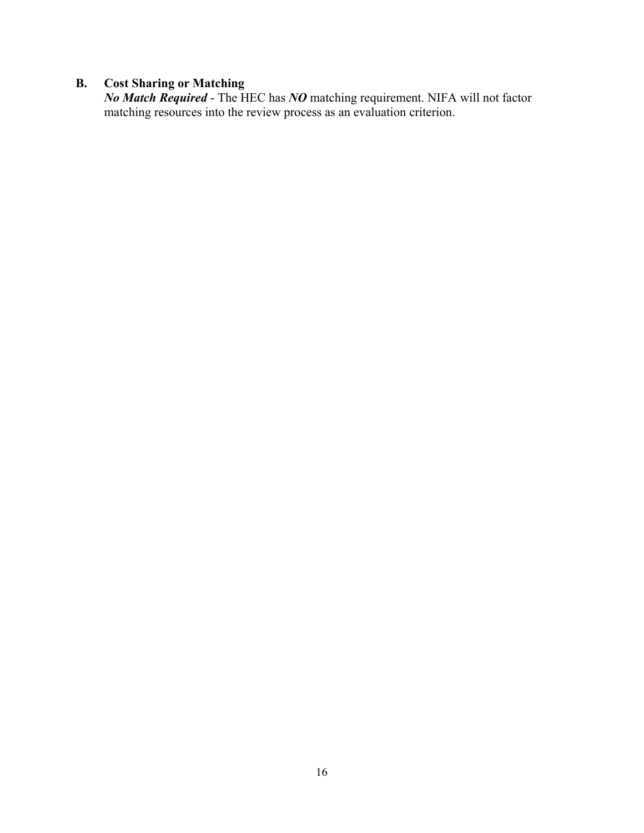#### <span id="page-15-0"></span>**B. Cost Sharing or Matching**

*No Match Required* - The HEC has *NO* matching requirement. NIFA will not factor matching resources into the review process as an evaluation criterion.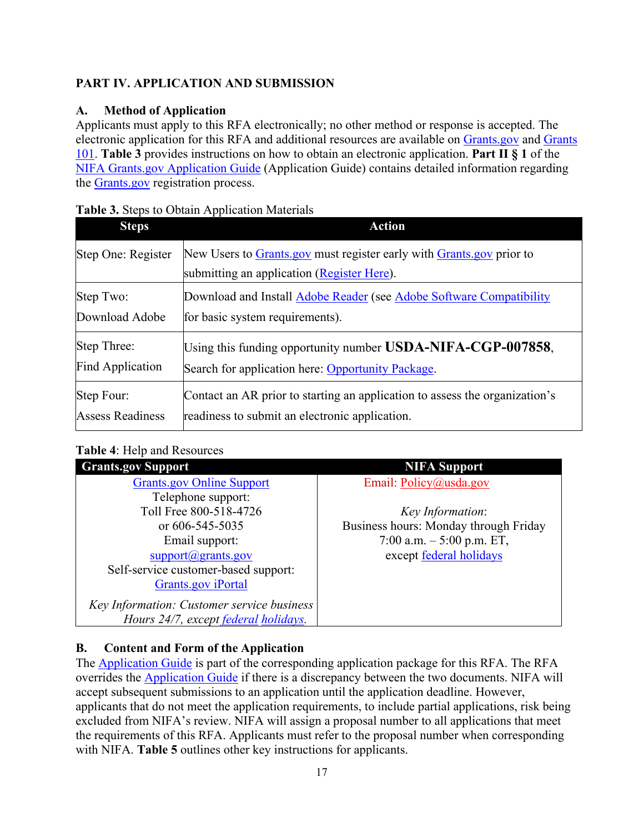# <span id="page-16-0"></span>**PART IV. APPLICATION AND SUBMISSION**

# <span id="page-16-1"></span>**A. Method of Application**

Applicants must apply to this RFA electronically; no other method or response is accepted. The electronic application for this RFA and additional resources are available on [Grants.gov](https://www.grants.gov/) and [Grants](https://www.grants.gov/web/grants/learn-grants/grants-101/pre-award-phase.html/)  [101.](https://www.grants.gov/web/grants/learn-grants/grants-101/pre-award-phase.html/) **Table 3** provides instructions on how to obtain an electronic application. **Part II § 1** of the [NIFA Grants.gov Application Guide](https://apply07.grants.gov/apply/opportunities/instructions/PKG00249520-instructions.pdf) (Application Guide) contains detailed information regarding the [Grants.gov](https://www.grants.gov/) registration process.

| <b>Steps</b>            | <b>Action</b>                                                                                                      |
|-------------------------|--------------------------------------------------------------------------------------------------------------------|
| Step One: Register      | New Users to Grants gov must register early with Grants gov prior to<br>submitting an application (Register Here). |
| Step Two:               | Download and Install Adobe Reader (see Adobe Software Compatibility                                                |
| Download Adobe          | for basic system requirements).                                                                                    |
| Step Three:             | Using this funding opportunity number USDA-NIFA-CGP-007858,                                                        |
| Find Application        | Search for application here: Opportunity Package.                                                                  |
| Step Four:              | Contact an AR prior to starting an application to assess the organization's                                        |
| <b>Assess Readiness</b> | readiness to submit an electronic application.                                                                     |

#### <span id="page-16-3"></span>**Table 3.** Steps to Obtain Application Materials

# <span id="page-16-4"></span>**Table 4**: Help and Resources

| <b>Grants.gov Support</b>                  | <b>NIFA Support</b>                   |
|--------------------------------------------|---------------------------------------|
| <b>Grants.gov Online Support</b>           | Email: $Policy@usda.gov$              |
| Telephone support:                         |                                       |
| Toll Free 800-518-4726                     | Key Information:                      |
| or $606 - 545 - 5035$                      | Business hours: Monday through Friday |
| Email support:                             | 7:00 a.m. $-5:00$ p.m. ET,            |
| $support(\omega)$ grants.gov               | except federal holidays               |
| Self-service customer-based support:       |                                       |
| <b>Grants.gov</b> iPortal                  |                                       |
| Key Information: Customer service business |                                       |
| Hours 24/7, except federal holidays.       |                                       |

# <span id="page-16-2"></span>**B. Content and Form of the Application**

The [Application Guide](https://apply07.grants.gov/apply/opportunities/instructions/PKG00249520-instructions.pdf) is part of the corresponding application package for this RFA. The RFA overrides the [Application Guide](https://apply07.grants.gov/apply/opportunities/instructions/PKG00249520-instructions.pdf) if there is a discrepancy between the two documents. NIFA will accept subsequent submissions to an application until the application deadline. However, applicants that do not meet the application requirements, to include partial applications, risk being excluded from NIFA's review. NIFA will assign a proposal number to all applications that meet the requirements of this RFA. Applicants must refer to the proposal number when corresponding with NIFA. **Table 5** outlines other key instructions for applicants.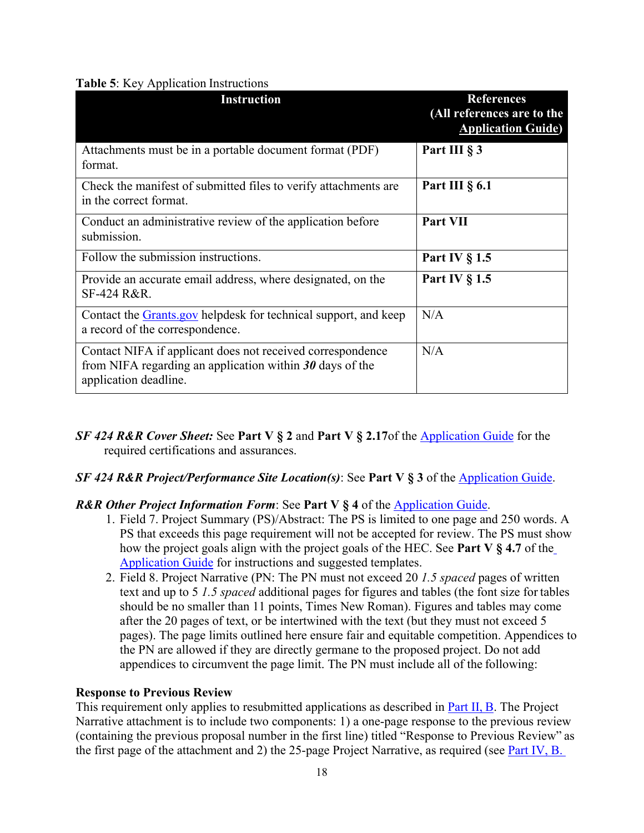#### <span id="page-17-0"></span>**Table 5**: Key Application Instructions

| <b>Instruction</b>                                                                                                                                | <b>References</b><br>(All references are to the<br><b>Application Guide)</b> |
|---------------------------------------------------------------------------------------------------------------------------------------------------|------------------------------------------------------------------------------|
| Attachments must be in a portable document format (PDF)<br>format.                                                                                | Part III § 3                                                                 |
| Check the manifest of submitted files to verify attachments are<br>in the correct format.                                                         | Part III $\S$ 6.1                                                            |
| Conduct an administrative review of the application before<br>submission.                                                                         | Part VII                                                                     |
| Follow the submission instructions.                                                                                                               | Part IV $\S$ 1.5                                                             |
| Provide an accurate email address, where designated, on the<br>SF-424 R&R.                                                                        | Part IV $\S$ 1.5                                                             |
| Contact the <b>Grants</b> gov helpdesk for technical support, and keep<br>a record of the correspondence.                                         | N/A                                                                          |
| Contact NIFA if applicant does not received correspondence<br>from NIFA regarding an application within $30$ days of the<br>application deadline. | N/A                                                                          |

*SF 424 R&R Cover Sheet:* See **Part V § 2** and **Part V § 2.17**of the [Application Guide](https://apply07.grants.gov/apply/opportunities/instructions/PKG00249520-instructions.pdf) for the required certifications and assurances.

#### *SF 424 R&R Project/Performance Site Location(s)*: See **Part V § 3** of the [Application Guide.](https://apply07.grants.gov/apply/opportunities/instructions/PKG00249520-instructions.pdf)

#### *R&R Other Project Information Form*: See **Part V § 4** of the [Application Guide.](https://apply07.grants.gov/apply/opportunities/instructions/PKG00249520-instructions.pdf)

- 1. Field 7. Project Summary (PS)/Abstract: The PS is limited to one page and 250 words. A PS that exceeds this page requirement will not be accepted for review. The PS must show how the project goals align with the project goals of the HEC. See **Part V § 4.7** of th[e](https://apply07.grants.gov/apply/opportunities/instructions/PKG00249520-instructions.pdf) [Application Guide](https://apply07.grants.gov/apply/opportunities/instructions/PKG00249520-instructions.pdf) for instructions and suggested templates.
- 2. Field 8. Project Narrative (PN: The PN must not exceed 20 *1.5 spaced* pages of written text and up to 5 *1.5 spaced* additional pages for figures and tables (the font size for tables should be no smaller than 11 points, Times New Roman). Figures and tables may come after the 20 pages of text, or be intertwined with the text (but they must not exceed 5 pages). The page limits outlined here ensure fair and equitable competition. Appendices to the PN are allowed if they are directly germane to the proposed project. Do not add appendices to circumvent the page limit. The PN must include all of the following:

#### **Response to Previous Review**

This requirement only applies to resubmitted applications as described in Part II, B. The Project Narrative attachment is to include two components: 1) a one-page response to the previous review (containing the previous proposal number in the first line) titled "Response to Previous Review" as the first page of the attachment and 2) the 25-page Project Narrative, as required (see **Part IV, B.**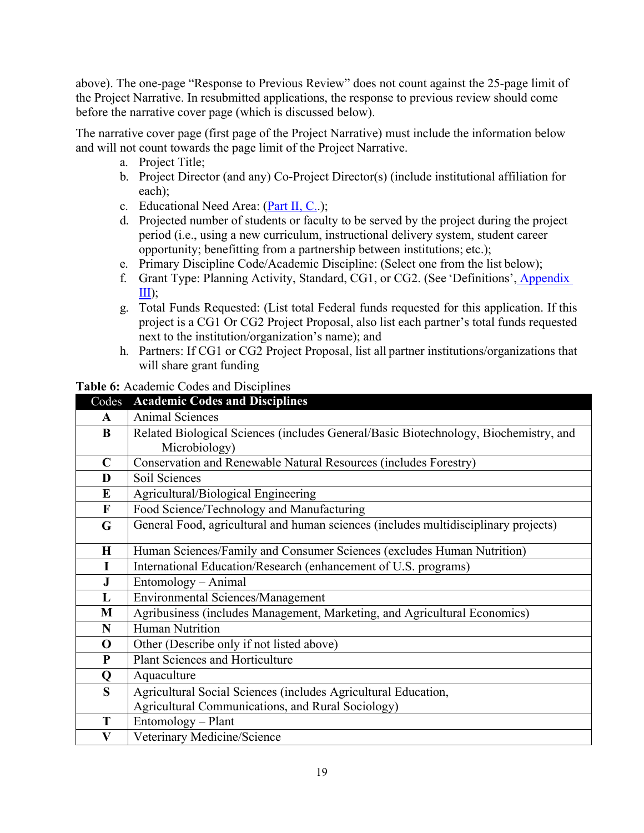above). The one-page "Response to Previous Review" does not count against the 25-page limit of the Project Narrative. In resubmitted applications, the response to previous review should come before the narrative cover page (which is discussed below).

The narrative cover page (first page of the Project Narrative) must include the information below and will not count towards the page limit of the Project Narrative.

- a. Project Title;
- b. Project Director (and any) Co-Project Director(s) (include institutional affiliation for each);
- c. Educational Need Area: (Part II, C..);
- d. Projected number of students or faculty to be served by the project during the project period (i.e., using a new curriculum, instructional delivery system, student career opportunity; benefitting from a partnership between institutions; etc.);
- e. Primary Discipline Code/Academic Discipline: (Select one from the list below);
- f. Grant Type: Planning Activity, Standard, CG1, or CG2. (See 'Definitions', Appendix  $III);$
- g. Total Funds Requested: (List total Federal funds requested for this application. If this project is a CG1 Or CG2 Project Proposal, also list each partner's total funds requested next to the institution/organization's name); and
- h. Partners: If CG1 or CG2 Project Proposal, list all partner institutions/organizations that will share grant funding

#### <span id="page-18-0"></span>**Table 6:** Academic Codes and Disciplines

| Codes       | <b>Academic Codes and Disciplines</b>                                                |  |  |
|-------------|--------------------------------------------------------------------------------------|--|--|
| A           | <b>Animal Sciences</b>                                                               |  |  |
| B           | Related Biological Sciences (includes General/Basic Biotechnology, Biochemistry, and |  |  |
|             | Microbiology)                                                                        |  |  |
| $\mathbf C$ | Conservation and Renewable Natural Resources (includes Forestry)                     |  |  |
| D           | Soil Sciences                                                                        |  |  |
| ${\bf E}$   | Agricultural/Biological Engineering                                                  |  |  |
| $\mathbf F$ | Food Science/Technology and Manufacturing                                            |  |  |
| G           | General Food, agricultural and human sciences (includes multidisciplinary projects)  |  |  |
| $\bf H$     |                                                                                      |  |  |
|             | Human Sciences/Family and Consumer Sciences (excludes Human Nutrition)               |  |  |
| I           | International Education/Research (enhancement of U.S. programs)                      |  |  |
| J           | Entomology - Animal                                                                  |  |  |
| L           | <b>Environmental Sciences/Management</b>                                             |  |  |
| M           | Agribusiness (includes Management, Marketing, and Agricultural Economics)            |  |  |
| N           | Human Nutrition                                                                      |  |  |
| $\mathbf 0$ | Other (Describe only if not listed above)                                            |  |  |
| P           | Plant Sciences and Horticulture                                                      |  |  |
| Q           | Aquaculture                                                                          |  |  |
| S           | Agricultural Social Sciences (includes Agricultural Education,                       |  |  |
|             | Agricultural Communications, and Rural Sociology)                                    |  |  |
| T           | Entomology - Plant                                                                   |  |  |
| V           | Veterinary Medicine/Science                                                          |  |  |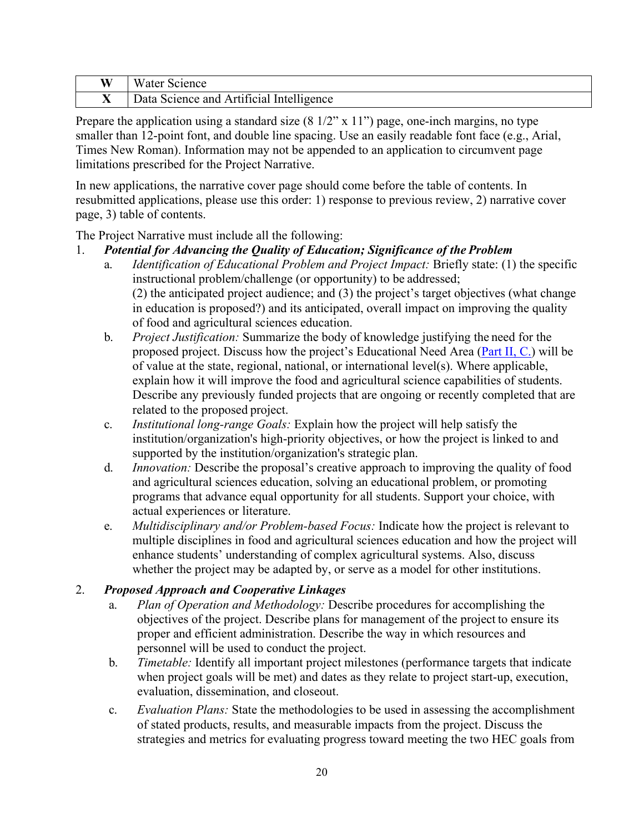| W  | Science '<br>w ater                      |
|----|------------------------------------------|
| ∡⊾ | Data Science and Artificial Intelligence |

Prepare the application using a standard size  $(8\frac{1}{2}$ " x  $11$ ") page, one-inch margins, no type smaller than 12-point font, and double line spacing. Use an easily readable font face (e.g., Arial, Times New Roman). Information may not be appended to an application to circumvent page limitations prescribed for the Project Narrative.

In new applications, the narrative cover page should come before the table of contents. In resubmitted applications, please use this order: 1) response to previous review, 2) narrative cover page, 3) table of contents.

The Project Narrative must include all the following:

# 1. *Potential for Advancing the Quality of Education; Significance of the Problem*

- a. *Identification of Educational Problem and Project Impact:* Briefly state: (1) the specific instructional problem/challenge (or opportunity) to be addressed; (2) the anticipated project audience; and (3) the project's target objectives (what change in education is proposed?) and its anticipated, overall impact on improving the quality of food and agricultural sciences education.
- b. *Project Justification:* Summarize the body of knowledge justifying the need for the proposed project. Discuss how the project's Educational Need Area (Part II, C.) will be of value at the state, regional, national, or international level(s). Where applicable, explain how it will improve the food and agricultural science capabilities of students. Describe any previously funded projects that are ongoing or recently completed that are related to the proposed project.
- c. *Institutional long-range Goals:* Explain how the project will help satisfy the institution/organization's high-priority objectives, or how the project is linked to and supported by the institution/organization's strategic plan.
- d. *Innovation:* Describe the proposal's creative approach to improving the quality of food and agricultural sciences education, solving an educational problem, or promoting programs that advance equal opportunity for all students. Support your choice, with actual experiences or literature.
- e. *Multidisciplinary and/or Problem-based Focus:* Indicate how the project is relevant to multiple disciplines in food and agricultural sciences education and how the project will enhance students' understanding of complex agricultural systems. Also, discuss whether the project may be adapted by, or serve as a model for other institutions.

# 2. *Proposed Approach and Cooperative Linkages*

- a. *Plan of Operation and Methodology:* Describe procedures for accomplishing the objectives of the project. Describe plans for management of the project to ensure its proper and efficient administration. Describe the way in which resources and personnel will be used to conduct the project.
- b. *Timetable:* Identify all important project milestones (performance targets that indicate when project goals will be met) and dates as they relate to project start-up, execution, evaluation, dissemination, and closeout.
- c. *Evaluation Plans:* State the methodologies to be used in assessing the accomplishment of stated products, results, and measurable impacts from the project. Discuss the strategies and metrics for evaluating progress toward meeting the two HEC goals from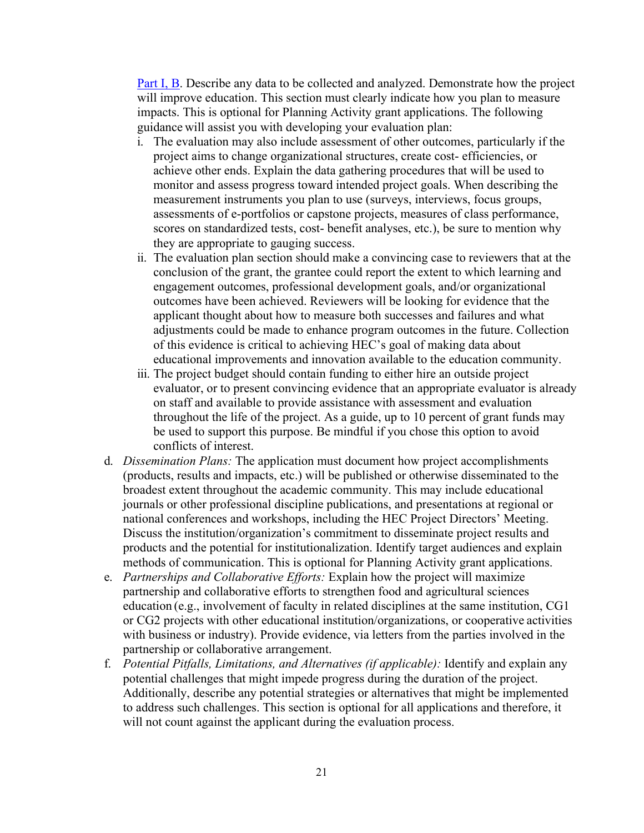Part I, B. Describe any data to be collected and analyzed. Demonstrate how the project will improve education. This section must clearly indicate how you plan to measure impacts. This is optional for Planning Activity grant applications. The following guidance will assist you with developing your evaluation plan:

- i. The evaluation may also include assessment of other outcomes, particularly if the project aims to change organizational structures, create cost- efficiencies, or achieve other ends. Explain the data gathering procedures that will be used to monitor and assess progress toward intended project goals. When describing the measurement instruments you plan to use (surveys, interviews, focus groups, assessments of e-portfolios or capstone projects, measures of class performance, scores on standardized tests, cost- benefit analyses, etc.), be sure to mention why they are appropriate to gauging success.
- ii. The evaluation plan section should make a convincing case to reviewers that at the conclusion of the grant, the grantee could report the extent to which learning and engagement outcomes, professional development goals, and/or organizational outcomes have been achieved. Reviewers will be looking for evidence that the applicant thought about how to measure both successes and failures and what adjustments could be made to enhance program outcomes in the future. Collection of this evidence is critical to achieving HEC's goal of making data about educational improvements and innovation available to the education community.
- iii. The project budget should contain funding to either hire an outside project evaluator, or to present convincing evidence that an appropriate evaluator is already on staff and available to provide assistance with assessment and evaluation throughout the life of the project. As a guide, up to 10 percent of grant funds may be used to support this purpose. Be mindful if you chose this option to avoid conflicts of interest.
- d. *Dissemination Plans:* The application must document how project accomplishments (products, results and impacts, etc.) will be published or otherwise disseminated to the broadest extent throughout the academic community. This may include educational journals or other professional discipline publications, and presentations at regional or national conferences and workshops, including the HEC Project Directors' Meeting. Discuss the institution/organization's commitment to disseminate project results and products and the potential for institutionalization. Identify target audiences and explain methods of communication. This is optional for Planning Activity grant applications.
- e. *Partnerships and Collaborative Efforts:* Explain how the project will maximize partnership and collaborative efforts to strengthen food and agricultural sciences education (e.g., involvement of faculty in related disciplines at the same institution, CG1 or CG2 projects with other educational institution/organizations, or cooperative activities with business or industry). Provide evidence, via letters from the parties involved in the partnership or collaborative arrangement.
- f. *Potential Pitfalls, Limitations, and Alternatives (if applicable):* Identify and explain any potential challenges that might impede progress during the duration of the project. Additionally, describe any potential strategies or alternatives that might be implemented to address such challenges. This section is optional for all applications and therefore, it will not count against the applicant during the evaluation process.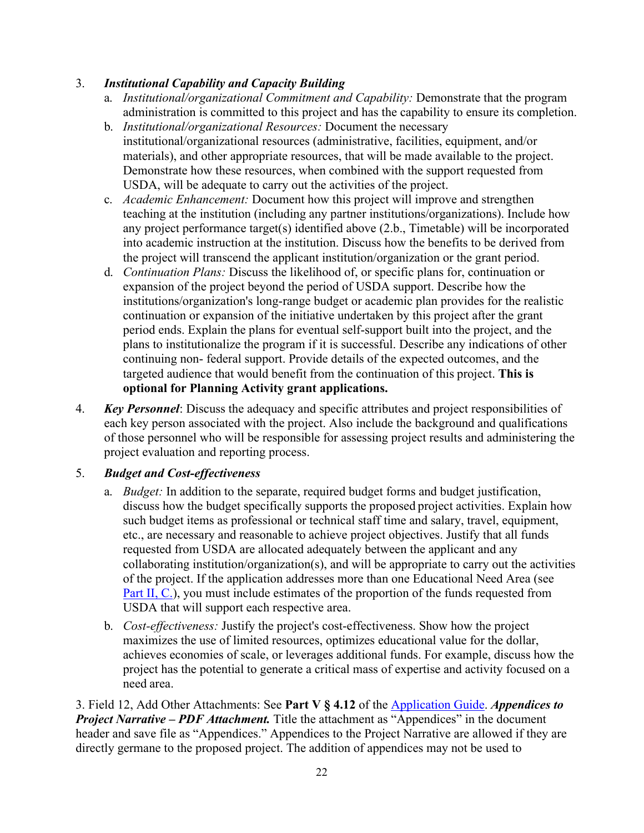# 3. *Institutional Capability and Capacity Building*

- a. *Institutional/organizational Commitment and Capability:* Demonstrate that the program administration is committed to this project and has the capability to ensure its completion.
- b. *Institutional/organizational Resources:* Document the necessary institutional/organizational resources (administrative, facilities, equipment, and/or materials), and other appropriate resources, that will be made available to the project. Demonstrate how these resources, when combined with the support requested from USDA, will be adequate to carry out the activities of the project.
- c. *Academic Enhancement:* Document how this project will improve and strengthen teaching at the institution (including any partner institutions/organizations). Include how any project performance target(s) identified above (2.b., Timetable) will be incorporated into academic instruction at the institution. Discuss how the benefits to be derived from the project will transcend the applicant institution/organization or the grant period.
- d. *Continuation Plans:* Discuss the likelihood of, or specific plans for, continuation or expansion of the project beyond the period of USDA support. Describe how the institutions/organization's long-range budget or academic plan provides for the realistic continuation or expansion of the initiative undertaken by this project after the grant period ends. Explain the plans for eventual self-support built into the project, and the plans to institutionalize the program if it is successful. Describe any indications of other continuing non- federal support. Provide details of the expected outcomes, and the targeted audience that would benefit from the continuation of this project. **This is optional for Planning Activity grant applications.**
- 4. *Key Personnel*: Discuss the adequacy and specific attributes and project responsibilities of each key person associated with the project. Also include the background and qualifications of those personnel who will be responsible for assessing project results and administering the project evaluation and reporting process.

#### 5. *Budget and Cost-effectiveness*

- a. *Budget:* In addition to the separate, required budget forms and budget justification, discuss how the budget specifically supports the proposed project activities. Explain how such budget items as professional or technical staff time and salary, travel, equipment, etc., are necessary and reasonable to achieve project objectives. Justify that all funds requested from USDA are allocated adequately between the applicant and any collaborating institution/organization(s), and will be appropriate to carry out the activities of the project. If the application addresses more than one Educational Need Area (see Part II, C.), you must include estimates of the proportion of the funds requested from USDA that will support each respective area.
- b. *Cost-effectiveness:* Justify the project's cost-effectiveness. Show how the project maximizes the use of limited resources, optimizes educational value for the dollar, achieves economies of scale, or leverages additional funds. For example, discuss how the project has the potential to generate a critical mass of expertise and activity focused on a need area.

3. Field 12, Add Other Attachments: See **Part V § 4.12** of the [Application Guide.](https://apply07.grants.gov/apply/opportunities/instructions/PKG00249520-instructions.pdf) *Appendices to Project Narrative – PDF Attachment.* Title the attachment as "Appendices" in the document header and save file as "Appendices." Appendices to the Project Narrative are allowed if they are directly germane to the proposed project. The addition of appendices may not be used to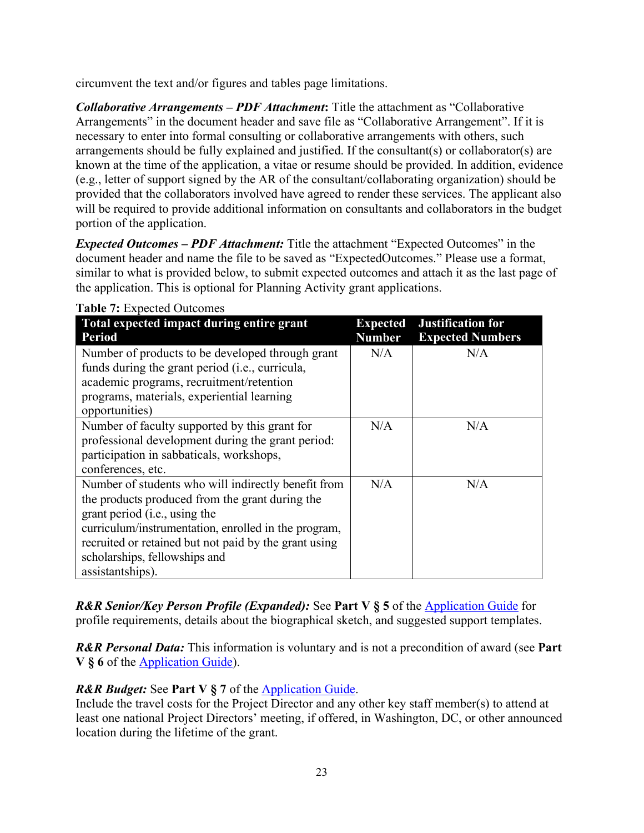circumvent the text and/or figures and tables page limitations.

*Collaborative Arrangements – PDF Attachment***:** Title the attachment as "Collaborative Arrangements" in the document header and save file as "Collaborative Arrangement". If it is necessary to enter into formal consulting or collaborative arrangements with others, such arrangements should be fully explained and justified. If the consultant(s) or collaborator(s) are known at the time of the application, a vitae or resume should be provided. In addition, evidence (e.g., letter of support signed by the AR of the consultant/collaborating organization) should be provided that the collaborators involved have agreed to render these services. The applicant also will be required to provide additional information on consultants and collaborators in the budget portion of the application.

*Expected Outcomes – PDF Attachment:* Title the attachment "Expected Outcomes" in the document header and name the file to be saved as "ExpectedOutcomes." Please use a format, similar to what is provided below, to submit expected outcomes and attach it as the last page of the application. This is optional for Planning Activity grant applications.

| Total expected impact during entire grant<br><b>Period</b>                                                                                                                                                                                                                                                    | <b>Expected</b><br><b>Number</b> | <b>Justification for</b><br><b>Expected Numbers</b> |
|---------------------------------------------------------------------------------------------------------------------------------------------------------------------------------------------------------------------------------------------------------------------------------------------------------------|----------------------------------|-----------------------------------------------------|
| Number of products to be developed through grant<br>funds during the grant period ( <i>i.e.</i> , curricula,<br>academic programs, recruitment/retention<br>programs, materials, experiential learning<br>opportunities)                                                                                      | N/A                              | N/A                                                 |
| Number of faculty supported by this grant for<br>professional development during the grant period:<br>participation in sabbaticals, workshops,<br>conferences, etc.                                                                                                                                           | N/A                              | N/A                                                 |
| Number of students who will indirectly benefit from<br>the products produced from the grant during the<br>grant period (i.e., using the<br>curriculum/instrumentation, enrolled in the program,<br>recruited or retained but not paid by the grant using<br>scholarships, fellowships and<br>assistantships). | N/A                              | N/A                                                 |

<span id="page-22-0"></span>**Table 7:** Expected Outcomes

*R&R Senior/Key Person Profile (Expanded):* See **Part V § 5** of the [Application Guide](https://apply07.grants.gov/apply/opportunities/instructions/PKG00249520-instructions.pdf) for profile requirements, details about the biographical sketch, and suggested support templates.

*R&R Personal Data:* This information is voluntary and is not a precondition of award (see **Part V § 6** of the [Application Guide\)](https://apply07.grants.gov/apply/opportunities/instructions/PKG00249520-instructions.pdf).

# *R&R Budget:* See **Part V § 7** of the [Application Guide.](https://apply07.grants.gov/apply/opportunities/instructions/PKG00249520-instructions.pdf)

Include the travel costs for the Project Director and any other key staff member(s) to attend at least one national Project Directors' meeting, if offered, in Washington, DC, or other announced location during the lifetime of the grant.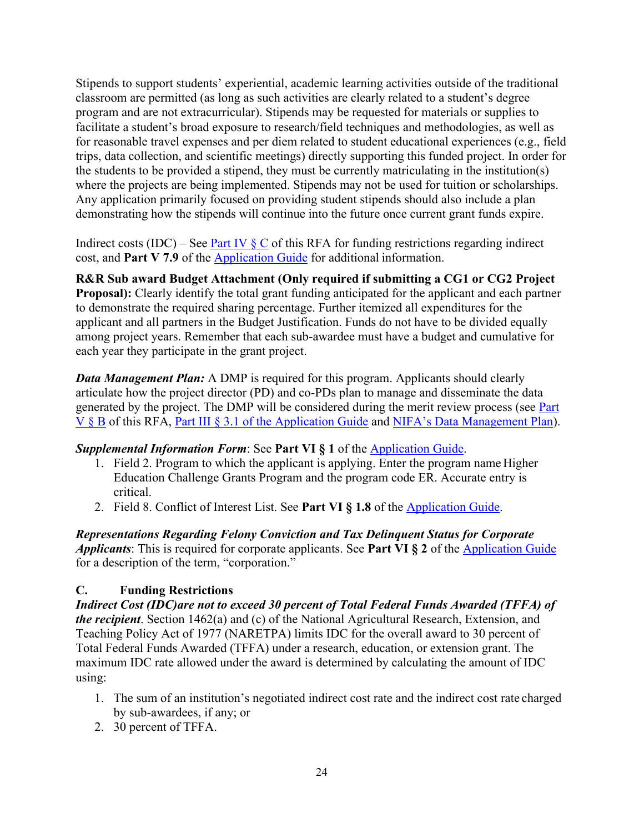Stipends to support students' experiential, academic learning activities outside of the traditional classroom are permitted (as long as such activities are clearly related to a student's degree program and are not extracurricular). Stipends may be requested for materials or supplies to facilitate a student's broad exposure to research/field techniques and methodologies, as well as for reasonable travel expenses and per diem related to student educational experiences (e.g., field trips, data collection, and scientific meetings) directly supporting this funded project. In order for the students to be provided a stipend, they must be currently matriculating in the institution(s) where the projects are being implemented. Stipends may not be used for tuition or scholarships. Any application primarily focused on providing student stipends should also include a plan demonstrating how the stipends will continue into the future once current grant funds expire.

Indirect costs (IDC) – See Part IV  $\S$  C of this RFA for funding restrictions regarding indirect cost, and **Part V 7.9** of the [Application Guide](https://apply07.grants.gov/apply/opportunities/instructions/PKG00249520-instructions.pdf) for additional information.

**R&R Sub award Budget Attachment (Only required if submitting a CG1 or CG2 Project Proposal):** Clearly identify the total grant funding anticipated for the applicant and each partner to demonstrate the required sharing percentage. Further itemized all expenditures for the applicant and all partners in the Budget Justification. Funds do not have to be divided equally among project years. Remember that each sub-awardee must have a budget and cumulative for each year they participate in the grant project.

*Data Management Plan:* A DMP is required for this program. Applicants should clearly articulate how the project director (PD) and co-PDs plan to manage and disseminate the data generated by the project. The DMP will be considered during the merit review process (see Part V § B of this RFA, Part III § 3.1 [of the Application Guide](https://apply07.grants.gov/apply/opportunities/instructions/PKG00249520-instructions.pdf) and [NIFA's Data Management Plan\)](https://nifa.usda.gov/resource/data-management-plan-nifa-funded-research-projects).

# **Supplemental Information Form: See Part VI § 1 of the [Application Guide.](https://apply07.grants.gov/apply/opportunities/instructions/PKG00249520-instructions.pdf)**

- 1. Field 2. Program to which the applicant is applying. Enter the program name Higher Education Challenge Grants Program and the program code ER. Accurate entry is critical.
- 2. Field 8. Conflict of Interest List. See **Part VI § 1.8** of the [Application](https://apply07.grants.gov/apply/opportunities/instructions/PKG00249520-instructions.pdf) Guide.

*Representations Regarding Felony Conviction and Tax Delinquent Status for Corporate Applicants*: This is required for corporate applicants. See **Part VI § 2** of the [Application Guide](https://apply07.grants.gov/apply/opportunities/instructions/PKG00249520-instructions.pdf) for a description of the term, "corporation."

# <span id="page-23-0"></span>**C. Funding Restrictions**

*Indirect Cost (IDC)are not to exceed 30 percent of Total Federal Funds Awarded (TFFA) of the recipient*. Section 1462(a) and (c) of the National Agricultural Research, Extension, and Teaching Policy Act of 1977 (NARETPA) limits IDC for the overall award to 30 percent of Total Federal Funds Awarded (TFFA) under a research, education, or extension grant. The maximum IDC rate allowed under the award is determined by calculating the amount of IDC using:

- 1. The sum of an institution's negotiated indirect cost rate and the indirect cost rate charged by sub-awardees, if any; or
- 2. 30 percent of TFFA.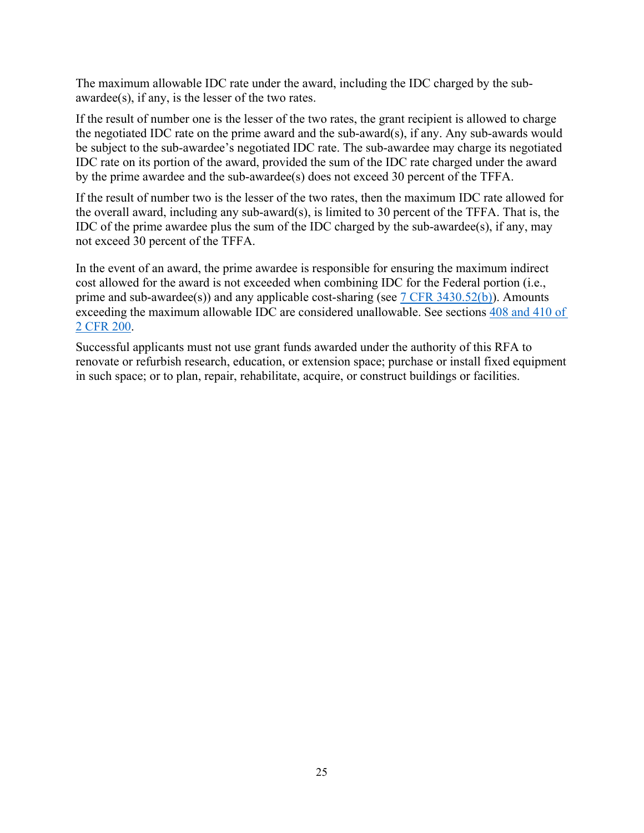The maximum allowable IDC rate under the award, including the IDC charged by the subawardee(s), if any, is the lesser of the two rates.

If the result of number one is the lesser of the two rates, the grant recipient is allowed to charge the negotiated IDC rate on the prime award and the sub-award(s), if any. Any sub-awards would be subject to the sub-awardee's negotiated IDC rate. The sub-awardee may charge its negotiated IDC rate on its portion of the award, provided the sum of the IDC rate charged under the award by the prime awardee and the sub-awardee(s) does not exceed 30 percent of the TFFA.

If the result of number two is the lesser of the two rates, then the maximum IDC rate allowed for the overall award, including any sub-award(s), is limited to 30 percent of the TFFA. That is, the IDC of the prime awardee plus the sum of the IDC charged by the sub-awardee(s), if any, may not exceed 30 percent of the TFFA.

In the event of an award, the prime awardee is responsible for ensuring the maximum indirect cost allowed for the award is not exceeded when combining IDC for the Federal portion (i.e., prime and sub-awardee(s)) and any applicable cost-sharing (see  $7$  CFR 3430.52(b)). Amounts exceeding the maximum allowable IDC are considered unallowable. See sections [408 and 410 of](https://www.ecfr.gov/cgi-bin/text-idx?SID=75c51416c3ef0bfc841c8f90bfea3050&mc=true&node=pt2.1.200&rgn=div5#se2.1.200_1408)  [2 CFR 200.](https://www.ecfr.gov/cgi-bin/text-idx?SID=75c51416c3ef0bfc841c8f90bfea3050&mc=true&node=pt2.1.200&rgn=div5#se2.1.200_1408)

Successful applicants must not use grant funds awarded under the authority of this RFA to renovate or refurbish research, education, or extension space; purchase or install fixed equipment in such space; or to plan, repair, rehabilitate, acquire, or construct buildings or facilities.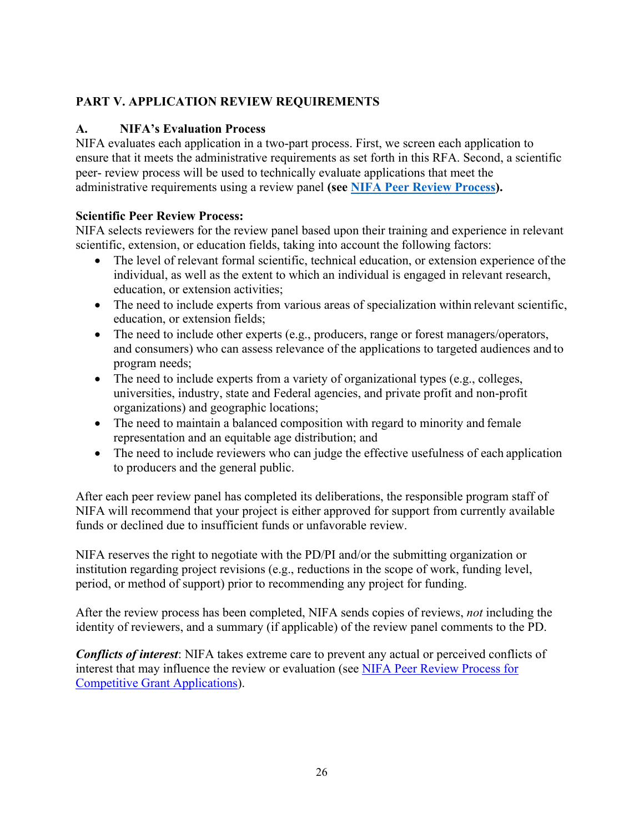# <span id="page-25-0"></span>**PART V. APPLICATION REVIEW REQUIREMENTS**

# <span id="page-25-1"></span>**A. NIFA's Evaluation Process**

NIFA evaluates each application in a two-part process. First, we screen each application to ensure that it meets the administrative requirements as set forth in this RFA. Second, a scientific peer- review process will be used to technically evaluate applications that meet the administrative requirements using a review panel **(see [NIFA Peer Review Process\)](https://nifa.usda.gov/resource/nifa-peer-review-process-competitive-grant-applications).**

# **Scientific Peer Review Process:**

NIFA selects reviewers for the review panel based upon their training and experience in relevant scientific, extension, or education fields, taking into account the following factors:

- The level of relevant formal scientific, technical education, or extension experience of the individual, as well as the extent to which an individual is engaged in relevant research, education, or extension activities;
- The need to include experts from various areas of specialization within relevant scientific, education, or extension fields;
- The need to include other experts (e.g., producers, range or forest managers/operators, and consumers) who can assess relevance of the applications to targeted audiences and to program needs;
- The need to include experts from a variety of organizational types (e.g., colleges, universities, industry, state and Federal agencies, and private profit and non-profit organizations) and geographic locations;
- The need to maintain a balanced composition with regard to minority and female representation and an equitable age distribution; and
- The need to include reviewers who can judge the effective usefulness of each application to producers and the general public.

After each peer review panel has completed its deliberations, the responsible program staff of NIFA will recommend that your project is either approved for support from currently available funds or declined due to insufficient funds or unfavorable review.

NIFA reserves the right to negotiate with the PD/PI and/or the submitting organization or institution regarding project revisions (e.g., reductions in the scope of work, funding level, period, or method of support) prior to recommending any project for funding.

After the review process has been completed, NIFA sends copies of reviews, *not* including the identity of reviewers, and a summary (if applicable) of the review panel comments to the PD.

*Conflicts of interest*: NIFA takes extreme care to prevent any actual or perceived conflicts of interest that may influence the review or evaluation (see [NIFA Peer Review Process for](https://nifa.usda.gov/resource/nifa-peer-review-process-competitive-grant-applications) [Competitive Grant Applications\)](https://nifa.usda.gov/resource/nifa-peer-review-process-competitive-grant-applications).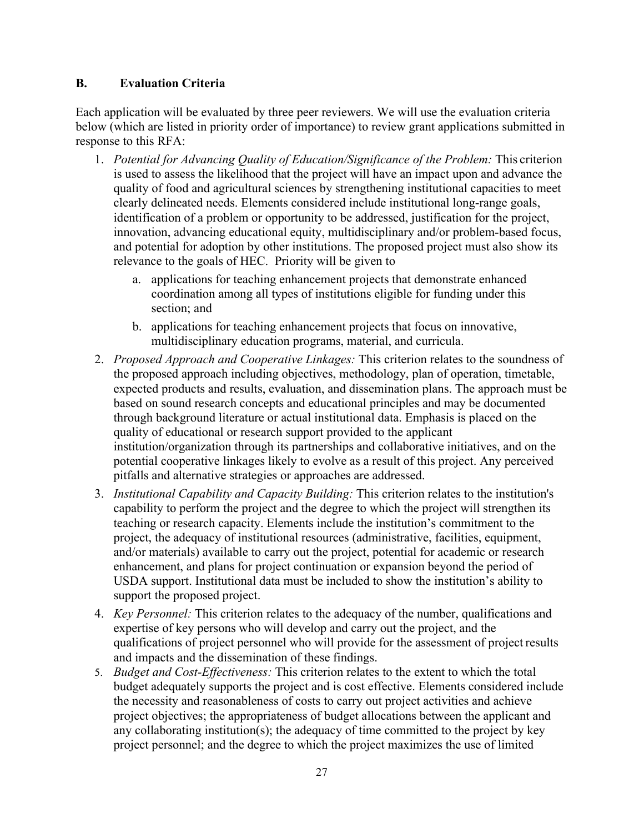#### <span id="page-26-0"></span>**B. Evaluation Criteria**

Each application will be evaluated by three peer reviewers. We will use the evaluation criteria below (which are listed in priority order of importance) to review grant applications submitted in response to this RFA:

- 1. *Potential for Advancing Quality of Education/Significance of the Problem:* This criterion is used to assess the likelihood that the project will have an impact upon and advance the quality of food and agricultural sciences by strengthening institutional capacities to meet clearly delineated needs. Elements considered include institutional long-range goals, identification of a problem or opportunity to be addressed, justification for the project, innovation, advancing educational equity, multidisciplinary and/or problem-based focus, and potential for adoption by other institutions. The proposed project must also show its relevance to the goals of HEC. Priority will be given to
	- a. applications for teaching enhancement projects that demonstrate enhanced coordination among all types of institutions eligible for funding under this section; and
	- b. applications for teaching enhancement projects that focus on innovative, multidisciplinary education programs, material, and curricula.
- 2. *Proposed Approach and Cooperative Linkages:* This criterion relates to the soundness of the proposed approach including objectives, methodology, plan of operation, timetable, expected products and results, evaluation, and dissemination plans. The approach must be based on sound research concepts and educational principles and may be documented through background literature or actual institutional data. Emphasis is placed on the quality of educational or research support provided to the applicant institution/organization through its partnerships and collaborative initiatives, and on the potential cooperative linkages likely to evolve as a result of this project. Any perceived pitfalls and alternative strategies or approaches are addressed.
- 3. *Institutional Capability and Capacity Building:* This criterion relates to the institution's capability to perform the project and the degree to which the project will strengthen its teaching or research capacity. Elements include the institution's commitment to the project, the adequacy of institutional resources (administrative, facilities, equipment, and/or materials) available to carry out the project, potential for academic or research enhancement, and plans for project continuation or expansion beyond the period of USDA support. Institutional data must be included to show the institution's ability to support the proposed project.
- 4. *Key Personnel:* This criterion relates to the adequacy of the number, qualifications and expertise of key persons who will develop and carry out the project, and the qualifications of project personnel who will provide for the assessment of project results and impacts and the dissemination of these findings.
- 5. *Budget and Cost-Effectiveness:* This criterion relates to the extent to which the total budget adequately supports the project and is cost effective. Elements considered include the necessity and reasonableness of costs to carry out project activities and achieve project objectives; the appropriateness of budget allocations between the applicant and any collaborating institution(s); the adequacy of time committed to the project by key project personnel; and the degree to which the project maximizes the use of limited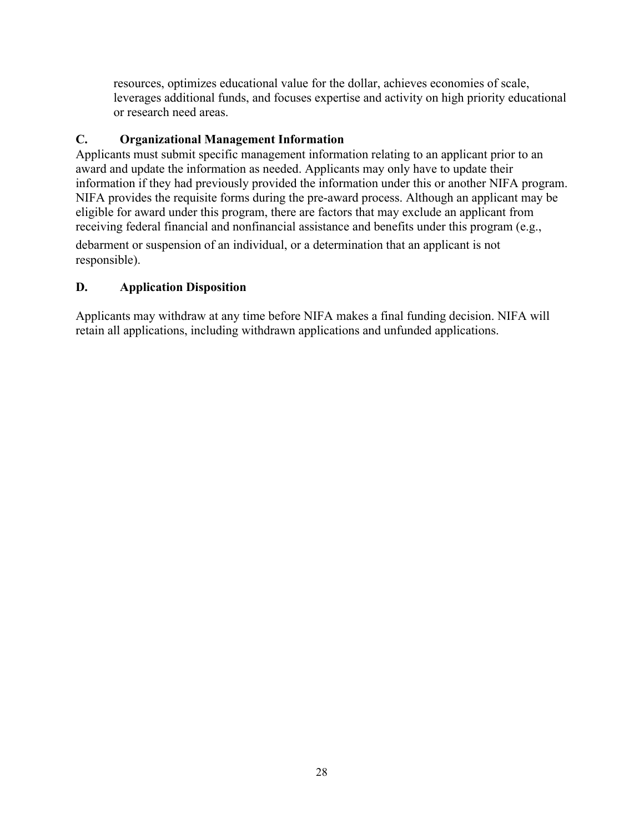resources, optimizes educational value for the dollar, achieves economies of scale, leverages additional funds, and focuses expertise and activity on high priority educational or research need areas.

#### <span id="page-27-0"></span>**C. Organizational Management Information**

Applicants must submit specific management information relating to an applicant prior to an award and update the information as needed. Applicants may only have to update their information if they had previously provided the information under this or another NIFA program. NIFA provides the requisite forms during the pre-award process. Although an applicant may be eligible for award under this program, there are factors that may exclude an applicant from receiving federal financial and nonfinancial assistance and benefits under this program (e.g.,

debarment or suspension of an individual, or a determination that an applicant is not responsible).

# <span id="page-27-1"></span>**D. Application Disposition**

Applicants may withdraw at any time before NIFA makes a final funding decision. NIFA will retain all applications, including withdrawn applications and unfunded applications.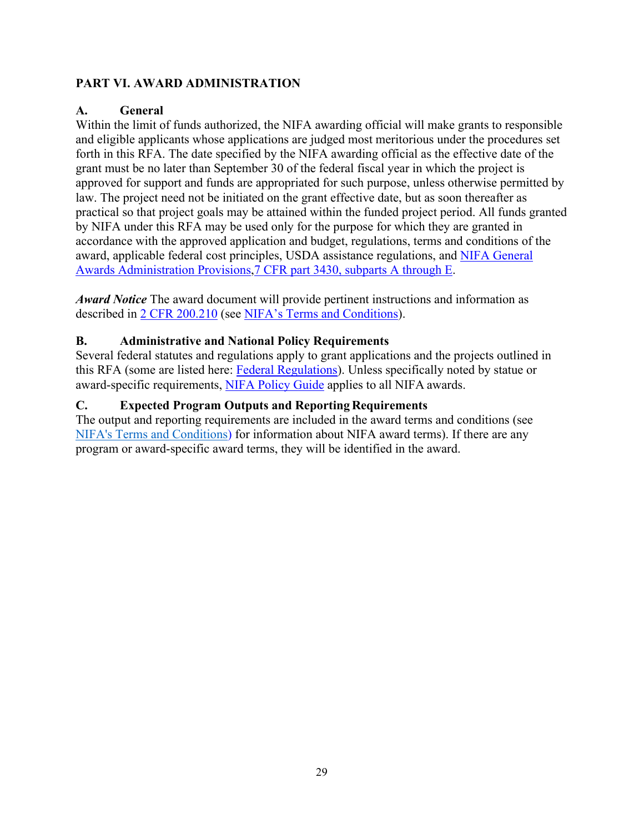# <span id="page-28-0"></span>**PART VI. AWARD ADMINISTRATION**

#### <span id="page-28-1"></span>**A. General**

Within the limit of funds authorized, the NIFA awarding official will make grants to responsible and eligible applicants whose applications are judged most meritorious under the procedures set forth in this RFA. The date specified by the NIFA awarding official as the effective date of the grant must be no later than September 30 of the federal fiscal year in which the project is approved for support and funds are appropriated for such purpose, unless otherwise permitted by law. The project need not be initiated on the grant effective date, but as soon thereafter as practical so that project goals may be attained within the funded project period. All funds granted by NIFA under this RFA may be used only for the purpose for which they are granted in accordance with the approved application and budget, regulations, terms and conditions of the award, applicable federal cost principles, USDA assistance regulations, and [NIFA General](https://ecfr.io/Title-07/pt7.15.3430) [Awards Administration Provisions,7 CFR part 3430, subparts A through E.](https://ecfr.io/Title-07/pt7.15.3430)

*Award Notice* The award document will provide pertinent instructions and information as described in [2 CFR 200.210](https://www.ecfr.gov/cgi-bin/text-idx?SID=70b44cfc44976f4a7742464f7cfbb37e&mc=true&node=se2.1.200_1210&rgn=div8) (see [NIFA's Terms and Conditions\)](https://nifa.usda.gov/terms-and-conditions).

# <span id="page-28-2"></span>**B. Administrative and National Policy Requirements**

Several federal statutes and regulations apply to grant applications and the projects outlined in this RFA (some are listed here: [Federal Regulations\)](https://nifa.usda.gov/federal-regulations). Unless specifically noted by statue or award-specific requirements, [NIFA Policy Guide](https://nifa.usda.gov/policy-guide) applies to all NIFA awards.

# <span id="page-28-3"></span>**C. Expected Program Outputs and Reporting Requirements**

<span id="page-28-4"></span>The output and reporting requirements are included in the award terms and conditions (see [NIFA's Terms and Conditions\)](https://nifa.usda.gov/terms-and-conditions) for information about NIFA award terms). If there are any program or award-specific award terms, they will be identified in the award.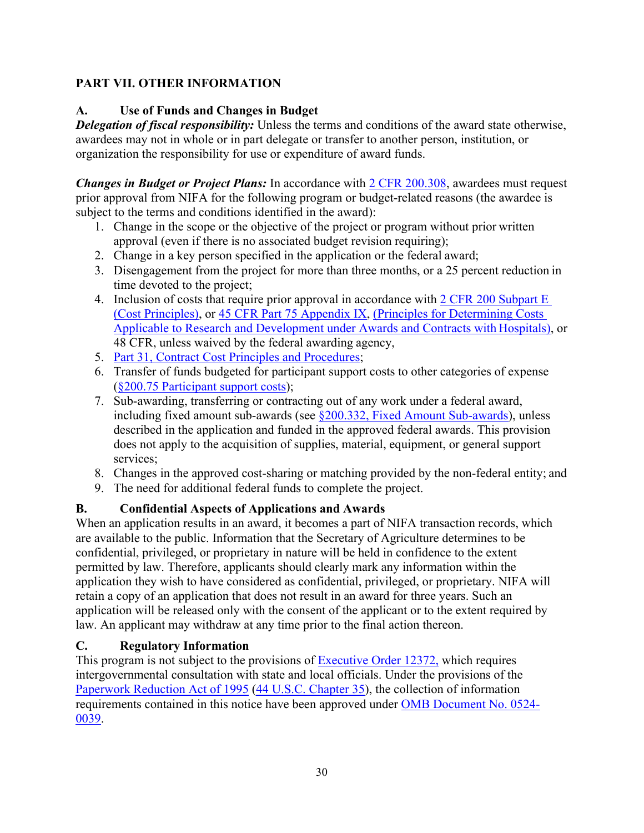# **PART VII. OTHER INFORMATION**

# <span id="page-29-0"></span>**A. Use of Funds and Changes in Budget**

*Delegation of fiscal responsibility:* Unless the terms and conditions of the award state otherwise, awardees may not in whole or in part delegate or transfer to another person, institution, or organization the responsibility for use or expenditure of award funds.

*Changes in Budget or Project Plans:* In accordance with [2 CFR 200.308, a](https://www.ecfr.gov/cgi-bin/text-idx?SID=3af89506559b05297e7d0334cb283e24&mc=true&node=se2.1.200_1308&rgn=div8)wardees must request prior approval from NIFA for the following program or budget-related reasons (the awardee is subject to the terms and conditions identified in the award):

- 1. Change in the scope or the objective of the project or program without prior written approval (even if there is no associated budget revision requiring);
- 2. Change in a key person specified in the application or the federal award;
- 3. Disengagement from the project for more than three months, or a 25 percent reduction in time devoted to the project;
- 4. Inclusion of costs that require prior approval in accordance with [2 CFR 200 Subpart E](https://ecfr.io/Title-02/sp2.1.200.e) [\(Cost Principles\),](https://ecfr.io/Title-02/sp2.1.200.e) or [45 CFR Part 75 Appendix IX,](https://www.ecfr.gov/cgi-bin/text-idx?node=pt45.1.75&ap45.1.75_1521.ix) [\(Principles for Determining Costs](https://www.ecfr.gov/cgi-bin/text-idx?node=pt45.1.75&ap45.1.75_1521.ix) [Applicable to Research and Development under Awards](https://www.ecfr.gov/cgi-bin/text-idx?node=pt45.1.75&ap45.1.75_1521.ix) and Contracts with Hospitals), or 48 CFR, unless waived by the federal awarding agency,
- 5. [Part 31, Contract Cost Principles and](https://ecfr.io/Title-48/pt48.1.31) Procedures;
- 6. Transfer of funds budgeted for participant support costs to other categories of expense [\(§200.75 Participant support](http://federal.elaws.us/cfr/title2.part200.section200.75) costs);
- 7. Sub-awarding, transferring or contracting out of any work under a federal award, including fixed amount sub-awards (see  $\S200.332$ , Fixed Amount Sub-awards), unless described in the application and funded in the approved federal awards. This provision does not apply to the acquisition of supplies, material, equipment, or general support services;
- 8. Changes in the approved cost-sharing or matching provided by the non-federal entity; and
- 9. The need for additional federal funds to complete the project.

# <span id="page-29-1"></span>**B. Confidential Aspects of Applications and Awards**

When an application results in an award, it becomes a part of NIFA transaction records, which are available to the public. Information that the Secretary of Agriculture determines to be confidential, privileged, or proprietary in nature will be held in confidence to the extent permitted by law. Therefore, applicants should clearly mark any information within the application they wish to have considered as confidential, privileged, or proprietary. NIFA will retain a copy of an application that does not result in an award for three years. Such an application will be released only with the consent of the applicant or to the extent required by law. An applicant may withdraw at any time prior to the final action thereon.

#### <span id="page-29-2"></span>**C. Regulatory Information**

This program is not subject to the provisions of [Executive Order 12372,](https://www.fws.gov/policy/library/rgeo12372.pdf) which requires intergovernmental consultation with state and local officials. Under the provisions of the [Paperwork Reduction Act of 1995](https://www.reginfo.gov/public/reginfo/pra.pdf) (44 U.S.C. Chapter 35), the collection of information requirements contained in this notice have been approved under [OMB Document No. 0524-](https://www.federalregister.gov/documents/2018/10/29/2018-23552/submission-for-omb-review-comment-request) [0039.](https://www.federalregister.gov/documents/2018/10/29/2018-23552/submission-for-omb-review-comment-request)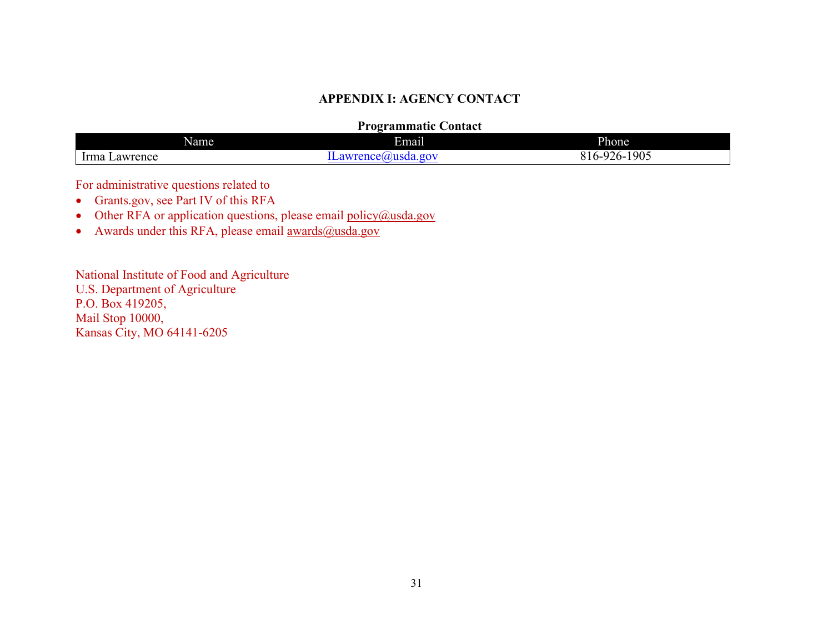#### **APPENDIX I: AGENCY CONTACT**

#### **Programmatic Contact**

| Name                                         | . .<br><b>Email</b>                        | Phone                   |
|----------------------------------------------|--------------------------------------------|-------------------------|
| $\overline{\phantom{a}}$<br>Irma<br>Lawrence | $\sim$<br>~~<br><b>TABLE</b><br>IS<br>10 V | 1905<br>-926-<br>$10 -$ |

For administrative questions related to

- Grants.gov, see Part IV of this RFA
- Other RFA or application questions, please email [policy@usda.gov](mailto:policy@usda.gov)
- Awards under this RFA, please email  $\frac{awards@usda.gov}{awards@usda.gov}$

<span id="page-30-0"></span>National Institute of Food and Agriculture U.S. Department of Agriculture P.O. Box 419205, Mail Stop 10000, Kansas City, MO 64141-6205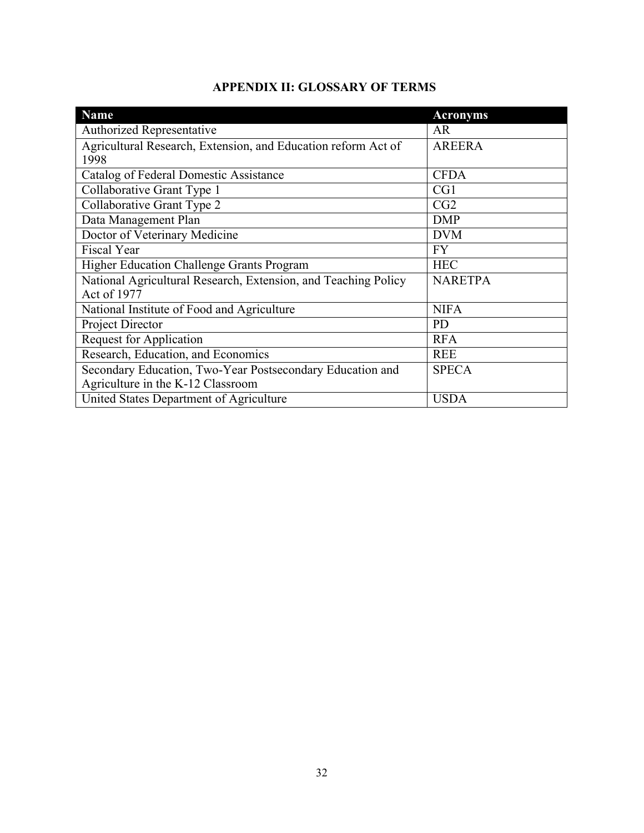| <b>APPENDIX II: GLOSSARY OF TERMS</b> |  |  |
|---------------------------------------|--|--|
|---------------------------------------|--|--|

<span id="page-31-0"></span>

| <b>Name</b>                                                    | <b>Acronyms</b> |
|----------------------------------------------------------------|-----------------|
| <b>Authorized Representative</b>                               | <b>AR</b>       |
| Agricultural Research, Extension, and Education reform Act of  | <b>AREERA</b>   |
| 1998                                                           |                 |
| Catalog of Federal Domestic Assistance                         | <b>CFDA</b>     |
| Collaborative Grant Type 1                                     | CG1             |
| Collaborative Grant Type 2                                     | CG2             |
| Data Management Plan                                           | <b>DMP</b>      |
| Doctor of Veterinary Medicine                                  | <b>DVM</b>      |
| <b>Fiscal Year</b>                                             | <b>FY</b>       |
| Higher Education Challenge Grants Program                      | <b>HEC</b>      |
| National Agricultural Research, Extension, and Teaching Policy | <b>NARETPA</b>  |
| Act of 1977                                                    |                 |
| National Institute of Food and Agriculture                     | <b>NIFA</b>     |
| Project Director                                               | <b>PD</b>       |
| <b>Request for Application</b>                                 | <b>RFA</b>      |
| Research, Education, and Economics                             | <b>REE</b>      |
| Secondary Education, Two-Year Postsecondary Education and      | <b>SPECA</b>    |
| Agriculture in the K-12 Classroom                              |                 |
| United States Department of Agriculture                        | <b>USDA</b>     |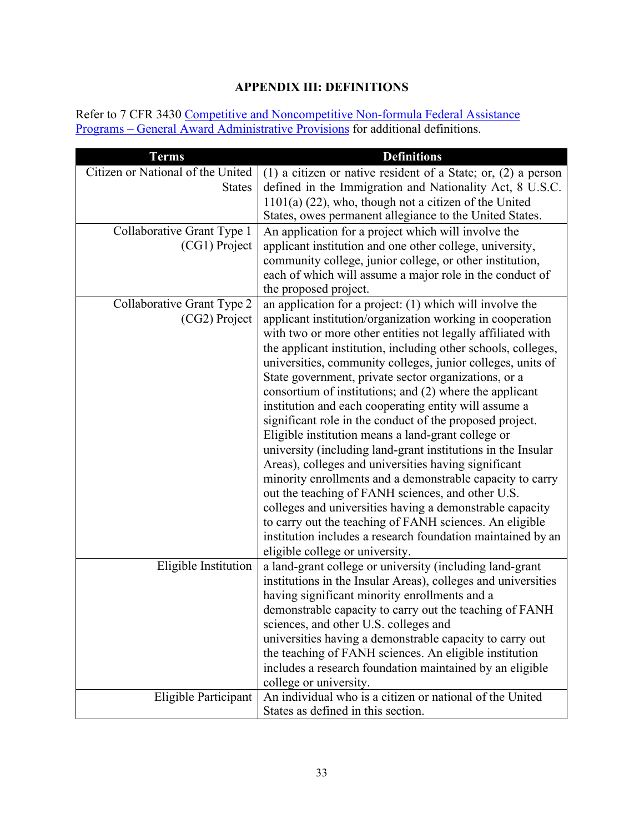# **APPENDIX III: DEFINITIONS**

<span id="page-32-0"></span>Refer to 7 CFR 3430 [Competitive and Noncompetitive Non-formula Federal Assistance](https://www.ecfr.gov/cgi-bin/text-idx?c=ecfr&SID=2a6f6bfbef4c918616eebe5353d0793c&rgn=div5&view=text&node=7%3A15.1.12.2.13&idno=7&7%3A15.1.12.2.13.1.17.2) Programs – [General Award Administrative Provisions](https://www.ecfr.gov/cgi-bin/text-idx?c=ecfr&SID=2a6f6bfbef4c918616eebe5353d0793c&rgn=div5&view=text&node=7%3A15.1.12.2.13&idno=7&7%3A15.1.12.2.13.1.17.2) for additional definitions.

| <b>Terms</b>                      | <b>Definitions</b>                                              |
|-----------------------------------|-----------------------------------------------------------------|
| Citizen or National of the United | (1) a citizen or native resident of a State; or, $(2)$ a person |
| <b>States</b>                     | defined in the Immigration and Nationality Act, 8 U.S.C.        |
|                                   | $1101(a)$ (22), who, though not a citizen of the United         |
|                                   | States, owes permanent allegiance to the United States.         |
| Collaborative Grant Type 1        | An application for a project which will involve the             |
| (CG1) Project                     | applicant institution and one other college, university,        |
|                                   | community college, junior college, or other institution,        |
|                                   | each of which will assume a major role in the conduct of        |
|                                   | the proposed project.                                           |
| Collaborative Grant Type 2        | an application for a project: $(1)$ which will involve the      |
| (CG2) Project                     | applicant institution/organization working in cooperation       |
|                                   | with two or more other entities not legally affiliated with     |
|                                   | the applicant institution, including other schools, colleges,   |
|                                   | universities, community colleges, junior colleges, units of     |
|                                   | State government, private sector organizations, or a            |
|                                   | consortium of institutions; and (2) where the applicant         |
|                                   | institution and each cooperating entity will assume a           |
|                                   | significant role in the conduct of the proposed project.        |
|                                   | Eligible institution means a land-grant college or              |
|                                   | university (including land-grant institutions in the Insular    |
|                                   | Areas), colleges and universities having significant            |
|                                   | minority enrollments and a demonstrable capacity to carry       |
|                                   | out the teaching of FANH sciences, and other U.S.               |
|                                   | colleges and universities having a demonstrable capacity        |
|                                   | to carry out the teaching of FANH sciences. An eligible         |
|                                   | institution includes a research foundation maintained by an     |
|                                   | eligible college or university.                                 |
| Eligible Institution              | a land-grant college or university (including land-grant        |
|                                   | institutions in the Insular Areas), colleges and universities   |
|                                   | having significant minority enrollments and a                   |
|                                   | demonstrable capacity to carry out the teaching of FANH         |
|                                   | sciences, and other U.S. colleges and                           |
|                                   | universities having a demonstrable capacity to carry out        |
|                                   | the teaching of FANH sciences. An eligible institution          |
|                                   | includes a research foundation maintained by an eligible        |
|                                   | college or university.                                          |
| Eligible Participant              | An individual who is a citizen or national of the United        |
|                                   | States as defined in this section.                              |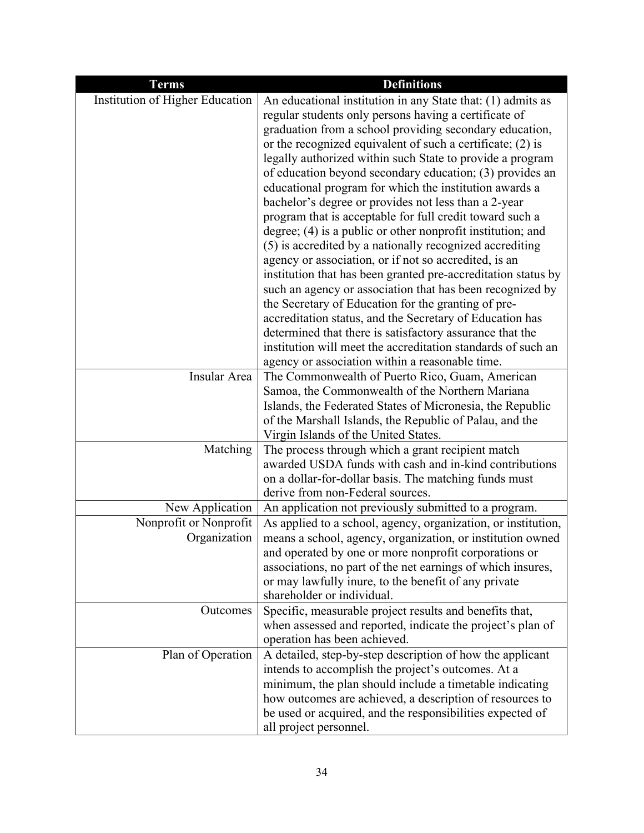| <b>Terms</b>                           | <b>Definitions</b>                                                                                                  |
|----------------------------------------|---------------------------------------------------------------------------------------------------------------------|
| Institution of Higher Education        | An educational institution in any State that: (1) admits as                                                         |
|                                        | regular students only persons having a certificate of                                                               |
|                                        | graduation from a school providing secondary education,                                                             |
|                                        | or the recognized equivalent of such a certificate; (2) is                                                          |
|                                        | legally authorized within such State to provide a program                                                           |
|                                        | of education beyond secondary education; (3) provides an                                                            |
|                                        | educational program for which the institution awards a                                                              |
|                                        | bachelor's degree or provides not less than a 2-year                                                                |
|                                        | program that is acceptable for full credit toward such a                                                            |
|                                        | degree; (4) is a public or other nonprofit institution; and                                                         |
|                                        | (5) is accredited by a nationally recognized accrediting                                                            |
|                                        | agency or association, or if not so accredited, is an                                                               |
|                                        | institution that has been granted pre-accreditation status by                                                       |
|                                        | such an agency or association that has been recognized by<br>the Secretary of Education for the granting of pre-    |
|                                        | accreditation status, and the Secretary of Education has                                                            |
|                                        | determined that there is satisfactory assurance that the                                                            |
|                                        | institution will meet the accreditation standards of such an                                                        |
|                                        | agency or association within a reasonable time.                                                                     |
| Insular Area                           | The Commonwealth of Puerto Rico, Guam, American                                                                     |
|                                        | Samoa, the Commonwealth of the Northern Mariana                                                                     |
|                                        | Islands, the Federated States of Micronesia, the Republic                                                           |
|                                        | of the Marshall Islands, the Republic of Palau, and the                                                             |
|                                        | Virgin Islands of the United States.                                                                                |
| Matching                               | The process through which a grant recipient match                                                                   |
|                                        | awarded USDA funds with cash and in-kind contributions                                                              |
|                                        | on a dollar-for-dollar basis. The matching funds must                                                               |
|                                        | derive from non-Federal sources.                                                                                    |
| New Application                        | An application not previously submitted to a program.                                                               |
| Nonprofit or Nonprofit<br>Organization | As applied to a school, agency, organization, or institution,                                                       |
|                                        | means a school, agency, organization, or institution owned<br>and operated by one or more nonprofit corporations or |
|                                        | associations, no part of the net earnings of which insures,                                                         |
|                                        | or may lawfully inure, to the benefit of any private                                                                |
|                                        | shareholder or individual.                                                                                          |
| Outcomes                               | Specific, measurable project results and benefits that,                                                             |
|                                        | when assessed and reported, indicate the project's plan of                                                          |
|                                        | operation has been achieved.                                                                                        |
| Plan of Operation                      | A detailed, step-by-step description of how the applicant                                                           |
|                                        | intends to accomplish the project's outcomes. At a                                                                  |
|                                        | minimum, the plan should include a timetable indicating                                                             |
|                                        | how outcomes are achieved, a description of resources to                                                            |
|                                        | be used or acquired, and the responsibilities expected of                                                           |
|                                        | all project personnel.                                                                                              |